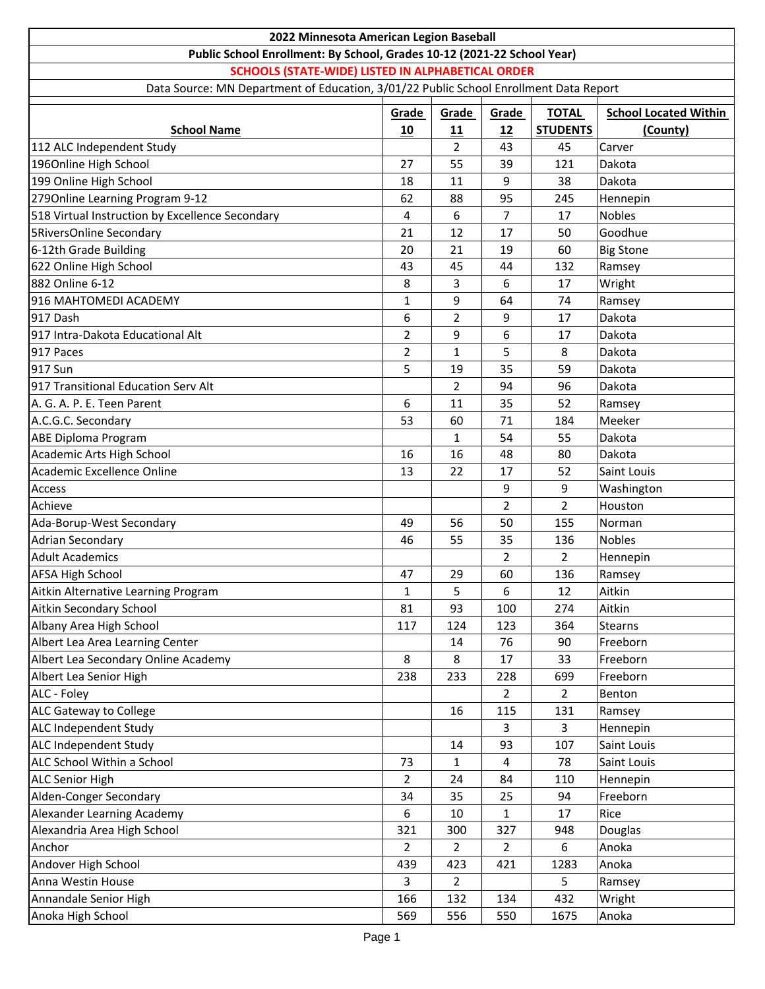| 2022 Minnesota American Legion Baseball                                               |                |                |                      |                 |                              |
|---------------------------------------------------------------------------------------|----------------|----------------|----------------------|-----------------|------------------------------|
| Public School Enrollment: By School, Grades 10-12 (2021-22 School Year)               |                |                |                      |                 |                              |
| <b>SCHOOLS (STATE-WIDE) LISTED IN ALPHABETICAL ORDER</b>                              |                |                |                      |                 |                              |
| Data Source: MN Department of Education, 3/01/22 Public School Enrollment Data Report |                |                |                      |                 |                              |
|                                                                                       | Grade          | Grade          | Grade                | <b>TOTAL</b>    | <b>School Located Within</b> |
| <b>School Name</b>                                                                    | 10             | 11             | 12                   | <b>STUDENTS</b> | (County)                     |
| 112 ALC Independent Study                                                             |                | $\overline{2}$ | 43                   | 45              | Carver                       |
| 1960nline High School                                                                 | 27             | 55             | 39                   | 121             | Dakota                       |
| 199 Online High School                                                                | 18             | 11             | 9                    | 38              | Dakota                       |
| 2790nline Learning Program 9-12                                                       | 62             | 88             | 95                   | 245             | Hennepin                     |
| 518 Virtual Instruction by Excellence Secondary                                       | 4              | 6              | $\overline{7}$       | 17              | <b>Nobles</b>                |
| <b>5RiversOnline Secondary</b>                                                        | 21             | 12             | 17                   | 50              | Goodhue                      |
| 6-12th Grade Building                                                                 | 20             | 21             | 19                   | 60              | <b>Big Stone</b>             |
| 622 Online High School                                                                | 43             | 45             | 44                   | 132             | Ramsey                       |
| 882 Online 6-12                                                                       | 8              | 3              | 6                    | 17              | Wright                       |
| 916 MAHTOMEDI ACADEMY                                                                 | $\mathbf{1}$   | 9              | 64                   | 74              | Ramsey                       |
| 917 Dash                                                                              | 6              | 2              | 9                    | 17              | Dakota                       |
| 917 Intra-Dakota Educational Alt                                                      | $\overline{2}$ | 9              | 6                    | 17              | Dakota                       |
| 917 Paces                                                                             | $\overline{2}$ | $\mathbf{1}$   | 5                    | 8               | Dakota                       |
| 917 Sun                                                                               | 5              | 19             | 35                   | 59              | Dakota                       |
| 917 Transitional Education Serv Alt                                                   |                | $\overline{2}$ | 94                   | 96              | Dakota                       |
| A. G. A. P. E. Teen Parent                                                            | 6              | 11             | 35                   | 52              | Ramsey                       |
| A.C.G.C. Secondary                                                                    |                | 60             | 71                   | 184             | Meeker                       |
| <b>ABE Diploma Program</b>                                                            | 53             | $\mathbf{1}$   | 54                   | 55              | Dakota                       |
|                                                                                       | 16             | 16             | 48                   | 80              | Dakota                       |
| Academic Arts High School<br>Academic Excellence Online                               | 13             | 22             | 17                   | 52              | Saint Louis                  |
|                                                                                       |                |                | 9                    | 9               |                              |
| Access<br>Achieve                                                                     |                |                | $\overline{2}$       | $\overline{2}$  | Washington<br>Houston        |
|                                                                                       | 49             |                | 50                   |                 | Norman                       |
| Ada-Borup-West Secondary                                                              |                | 56             |                      | 155             | Nobles                       |
| <b>Adrian Secondary</b><br><b>Adult Academics</b>                                     | 46             | 55             | 35<br>$\overline{2}$ | 136             |                              |
|                                                                                       |                | 29             | 60                   | $\overline{2}$  | Hennepin                     |
| <b>AFSA High School</b>                                                               | 47             |                |                      | 136             | Ramsey<br>Aitkin             |
| Aitkin Alternative Learning Program                                                   | 1              | 5<br>93        | 6                    | 12<br>274       | Aitkin                       |
| Aitkin Secondary School                                                               | 81             |                | 100                  |                 |                              |
| Albany Area High School                                                               | 117            | 124            | 123                  | 364<br>90       | Stearns                      |
| Albert Lea Area Learning Center                                                       |                | 14             | 76                   |                 | Freeborn                     |
| Albert Lea Secondary Online Academy                                                   | 8              | 8              | 17                   | 33<br>699       | Freeborn                     |
| Albert Lea Senior High                                                                | 238            | 233            | 228<br>$2^{\circ}$   |                 | Freeborn                     |
| ALC - Foley                                                                           |                |                |                      | $\overline{2}$  | Benton                       |
| ALC Gateway to College                                                                |                | 16             | 115                  | 131             | Ramsey                       |
| ALC Independent Study                                                                 |                |                | 3<br>93              | 3<br>107        | Hennepin<br>Saint Louis      |
| ALC Independent Study                                                                 |                | 14             |                      |                 |                              |
| ALC School Within a School                                                            | 73             | $\mathbf{1}$   | $\overline{4}$       | 78              | Saint Louis                  |
| <b>ALC Senior High</b>                                                                | $\overline{2}$ | 24             | 84                   | 110             | Hennepin                     |
| Alden-Conger Secondary                                                                | 34             | 35             | 25                   | 94              | Freeborn                     |
| Alexander Learning Academy                                                            | 6              | 10             | $\mathbf{1}$         | 17              | Rice                         |
| Alexandria Area High School                                                           | 321            | 300            | 327                  | 948             | Douglas                      |
| Anchor                                                                                | $\overline{2}$ | 2              | $\overline{2}$       | 6               | Anoka                        |
| Andover High School                                                                   | 439            | 423            | 421                  | 1283            | Anoka                        |
| Anna Westin House                                                                     | 3              | $\overline{2}$ |                      | 5               | Ramsey                       |
| Annandale Senior High                                                                 | 166            | 132            | 134                  | 432             | Wright                       |
| Anoka High School                                                                     | 569            | 556            | 550                  | 1675            | Anoka                        |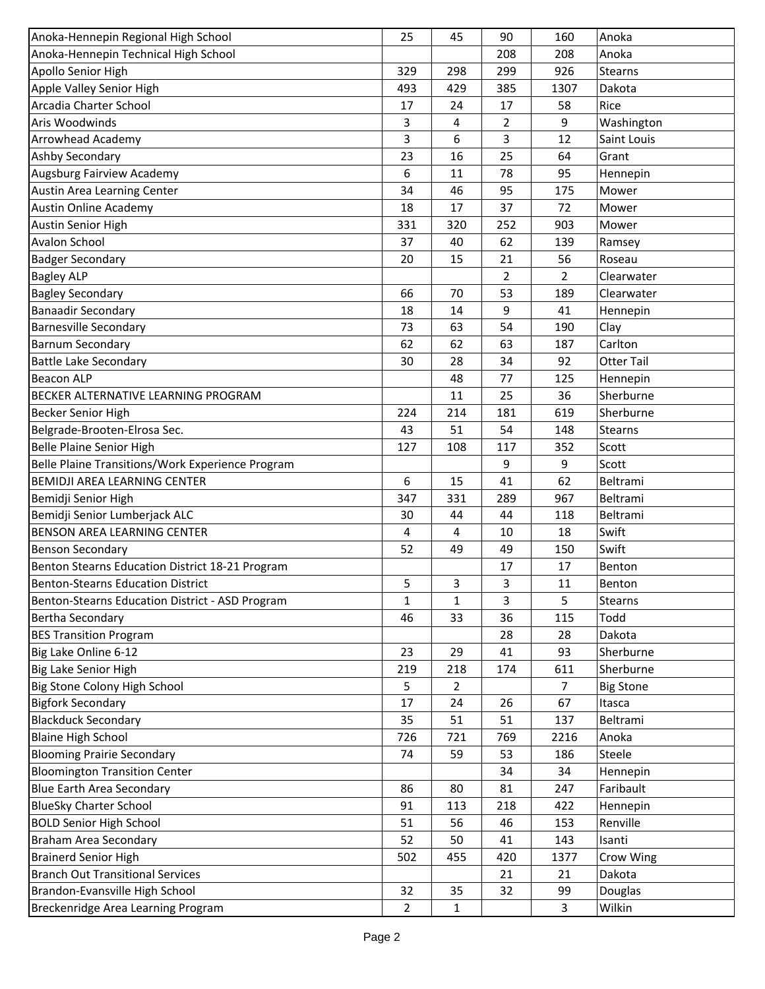| Anoka-Hennepin Regional High School              | 25                 | 45             | 90             | 160            | Anoka               |
|--------------------------------------------------|--------------------|----------------|----------------|----------------|---------------------|
| Anoka-Hennepin Technical High School             |                    |                | 208            | 208            | Anoka               |
| Apollo Senior High                               | 329                | 298            | 299            | 926            | <b>Stearns</b>      |
| Apple Valley Senior High                         | 493                | 429            | 385            | 1307           | Dakota              |
| Arcadia Charter School                           | 17                 | 24             | 17             | 58             | Rice                |
| Aris Woodwinds                                   | 3                  | 4              | $\overline{2}$ | 9              | Washington          |
| Arrowhead Academy                                | 3                  | 6              | 3              | 12             | Saint Louis         |
| Ashby Secondary                                  | 23                 | 16             | 25             | 64             | Grant               |
| Augsburg Fairview Academy                        | 6                  | 11             | 78             | 95             | Hennepin            |
| Austin Area Learning Center                      | 34                 | 46             | 95             | 175            | Mower               |
| Austin Online Academy                            | 18                 | 17             | 37             | 72             | Mower               |
| <b>Austin Senior High</b>                        | 331                | 320            | 252            | 903            | Mower               |
| <b>Avalon School</b>                             | 37                 | 40             | 62             | 139            | Ramsey              |
| <b>Badger Secondary</b>                          | 20                 | 15             | 21             | 56             | Roseau              |
| <b>Bagley ALP</b>                                |                    |                | $\overline{2}$ | $\overline{2}$ | Clearwater          |
| <b>Bagley Secondary</b>                          | 66                 | 70             | 53             | 189            | Clearwater          |
| <b>Banaadir Secondary</b>                        | 18                 | 14             | 9              | 41             | Hennepin            |
| <b>Barnesville Secondary</b>                     | 73                 | 63             | 54             | 190            | Clay                |
| <b>Barnum Secondary</b>                          | 62                 | 62             | 63             | 187            | Carlton             |
| <b>Battle Lake Secondary</b>                     | 30                 | 28             | 34             | 92             | <b>Otter Tail</b>   |
| <b>Beacon ALP</b>                                |                    | 48             | 77             | 125            | Hennepin            |
| BECKER ALTERNATIVE LEARNING PROGRAM              |                    | 11             | 25             | 36             | Sherburne           |
| <b>Becker Senior High</b>                        | 224                | 214            | 181            | 619            | Sherburne           |
| Belgrade-Brooten-Elrosa Sec.                     | 43                 | 51             | 54             | 148            | <b>Stearns</b>      |
| <b>Belle Plaine Senior High</b>                  | 127                | 108            | 117            | 352            | Scott               |
| Belle Plaine Transitions/Work Experience Program |                    |                | 9              | 9              | Scott               |
| BEMIDJI AREA LEARNING CENTER                     | 6                  | 15             | 41             | 62             | Beltrami            |
| Bemidji Senior High                              | 347                | 331            | 289            | 967            | Beltrami            |
| Bemidji Senior Lumberjack ALC                    | 30                 | 44             | 44             | 118            | Beltrami            |
| BENSON AREA LEARNING CENTER                      | 4                  | 4              | 10             | 18             | Swift               |
| <b>Benson Secondary</b>                          | 52                 | 49             | 49             | 150            | Swift               |
| Benton Stearns Education District 18-21 Program  |                    |                | 17             | 17             | Benton              |
| <b>Benton-Stearns Education District</b>         | 5                  | 3              | 3              | 11             |                     |
| Benton-Stearns Education District - ASD Program  |                    |                | 3              |                | Benton              |
| <b>Bertha Secondary</b>                          | $\mathbf{1}$<br>46 | 1<br>33        | 36             | 5<br>115       | Stearns<br>Todd     |
|                                                  |                    |                |                | 28             |                     |
| <b>BES Transition Program</b>                    | 23                 | 29             | 28             | 93             | Dakota<br>Sherburne |
| Big Lake Online 6-12                             |                    |                | 41             |                |                     |
| Big Lake Senior High                             | 219                | 218            | 174            | 611            | Sherburne           |
| Big Stone Colony High School                     | 5                  | $\overline{2}$ |                | 7              | <b>Big Stone</b>    |
| <b>Bigfork Secondary</b>                         | 17                 | 24             | 26             | 67             | Itasca              |
| <b>Blackduck Secondary</b>                       | 35                 | 51             | 51             | 137            | Beltrami            |
| <b>Blaine High School</b>                        | 726                | 721            | 769            | 2216           | Anoka               |
| <b>Blooming Prairie Secondary</b>                | 74                 | 59             | 53             | 186            | Steele              |
| <b>Bloomington Transition Center</b>             |                    |                | 34             | 34             | Hennepin            |
| <b>Blue Earth Area Secondary</b>                 | 86                 | 80             | 81             | 247            | Faribault           |
| <b>BlueSky Charter School</b>                    | 91                 | 113            | 218            | 422            | Hennepin            |
| <b>BOLD Senior High School</b>                   | 51                 | 56             | 46             | 153            | Renville            |
| <b>Braham Area Secondary</b>                     | 52                 | 50             | 41             | 143            | Isanti              |
| <b>Brainerd Senior High</b>                      | 502                | 455            | 420            | 1377           | Crow Wing           |
| <b>Branch Out Transitional Services</b>          |                    |                | 21             | 21             | Dakota              |
| Brandon-Evansville High School                   | 32                 | 35             | 32             | 99             | Douglas             |
| Breckenridge Area Learning Program               | $\overline{2}$     | 1              |                | 3              | Wilkin              |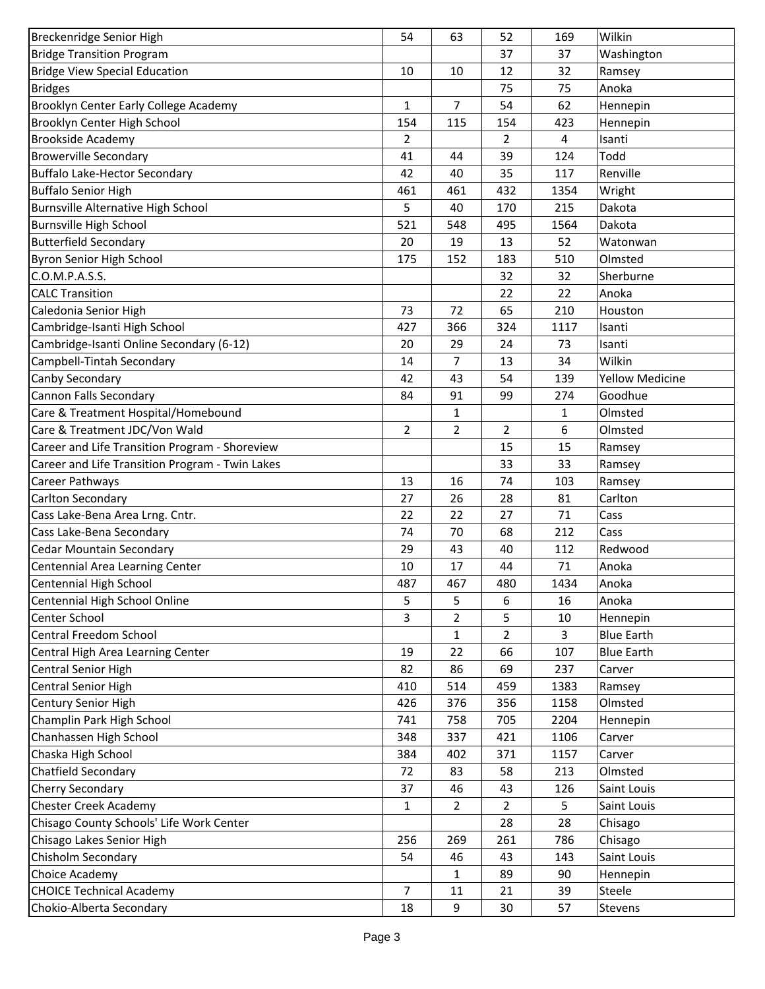| Breckenridge Senior High                        | 54             | 63             | 52             | 169          | Wilkin                 |
|-------------------------------------------------|----------------|----------------|----------------|--------------|------------------------|
| <b>Bridge Transition Program</b>                |                |                | 37             | 37           | Washington             |
| <b>Bridge View Special Education</b>            | 10             | 10             | 12             | 32           | Ramsey                 |
| <b>Bridges</b>                                  |                |                | 75             | 75           | Anoka                  |
| Brooklyn Center Early College Academy           | 1              | 7              | 54             | 62           | Hennepin               |
| Brooklyn Center High School                     | 154            | 115            | 154            | 423          | Hennepin               |
| <b>Brookside Academy</b>                        | $\overline{2}$ |                | $\overline{2}$ | 4            | Isanti                 |
| <b>Browerville Secondary</b>                    | 41             | 44             | 39             | 124          | Todd                   |
| <b>Buffalo Lake-Hector Secondary</b>            | 42             | 40             | 35             | 117          | Renville               |
| <b>Buffalo Senior High</b>                      | 461            | 461            | 432            | 1354         | Wright                 |
| Burnsville Alternative High School              | 5              | 40             | 170            | 215          | Dakota                 |
| <b>Burnsville High School</b>                   | 521            | 548            | 495            | 1564         | Dakota                 |
| <b>Butterfield Secondary</b>                    | 20             | 19             | 13             | 52           | Watonwan               |
| Byron Senior High School                        | 175            | 152            | 183            | 510          | Olmsted                |
| C.O.M.P.A.S.S.                                  |                |                | 32             | 32           | Sherburne              |
| <b>CALC Transition</b>                          |                |                | 22             | 22           | Anoka                  |
| Caledonia Senior High                           | 73             | 72             | 65             | 210          | Houston                |
| Cambridge-Isanti High School                    | 427            | 366            | 324            | 1117         | Isanti                 |
| Cambridge-Isanti Online Secondary (6-12)        | 20             | 29             | 24             | 73           | Isanti                 |
| Campbell-Tintah Secondary                       | 14             | 7              | 13             | 34           | Wilkin                 |
| Canby Secondary                                 | 42             | 43             | 54             | 139          | <b>Yellow Medicine</b> |
| Cannon Falls Secondary                          | 84             | 91             | 99             | 274          | Goodhue                |
| Care & Treatment Hospital/Homebound             |                | 1              |                | $\mathbf{1}$ | Olmsted                |
| Care & Treatment JDC/Von Wald                   | 2              | 2              | $\overline{2}$ | 6            | Olmsted                |
| Career and Life Transition Program - Shoreview  |                |                | 15             | 15           | Ramsey                 |
| Career and Life Transition Program - Twin Lakes |                |                | 33             | 33           | Ramsey                 |
| Career Pathways                                 | 13             | 16             | 74             | 103          | Ramsey                 |
| Carlton Secondary                               | 27             | 26             | 28             | 81           | Carlton                |
| Cass Lake-Bena Area Lrng. Cntr.                 | 22             | 22             | 27             | 71           | Cass                   |
| Cass Lake-Bena Secondary                        | 74             | 70             | 68             | 212          | Cass                   |
| <b>Cedar Mountain Secondary</b>                 | 29             | 43             | 40             | 112          | Redwood                |
| Centennial Area Learning Center                 | 10             | 17             | 44             | 71           | Anoka                  |
| Centennial High School                          | 487            | 467            | 480            | 1434         | Anoka                  |
| Centennial High School Online                   | 5              | 5              | 6              | 16           | Anoka                  |
| Center School                                   | 3              | 2              | 5              | 10           | Hennepin               |
| Central Freedom School                          |                | $\mathbf{1}$   | $\overline{2}$ | 3            | <b>Blue Earth</b>      |
| Central High Area Learning Center               | 19             | 22             | 66             | 107          | <b>Blue Earth</b>      |
| <b>Central Senior High</b>                      | 82             | 86             | 69             | 237          | Carver                 |
| Central Senior High                             | 410            | 514            | 459            | 1383         | Ramsey                 |
| Century Senior High                             | 426            | 376            | 356            | 1158         | Olmsted                |
| Champlin Park High School                       | 741            | 758            | 705            | 2204         | Hennepin               |
| Chanhassen High School                          | 348            | 337            | 421            | 1106         | Carver                 |
| Chaska High School                              | 384            | 402            | 371            | 1157         | Carver                 |
| Chatfield Secondary                             | 72             | 83             | 58             | 213          | Olmsted                |
| Cherry Secondary                                | 37             | 46             | 43             | 126          | Saint Louis            |
| <b>Chester Creek Academy</b>                    | $\mathbf{1}$   | $\overline{2}$ | $\overline{2}$ | 5            | Saint Louis            |
| Chisago County Schools' Life Work Center        |                |                | 28             | 28           | Chisago                |
| Chisago Lakes Senior High                       | 256            | 269            | 261            | 786          | Chisago                |
| Chisholm Secondary                              | 54             | 46             | 43             | 143          | Saint Louis            |
| Choice Academy                                  |                | 1              | 89             | 90           | Hennepin               |
| <b>CHOICE Technical Academy</b>                 | 7              | 11             | 21             | 39           | Steele                 |
| Chokio-Alberta Secondary                        | 18             | 9              | 30             | 57           | Stevens                |
|                                                 |                |                |                |              |                        |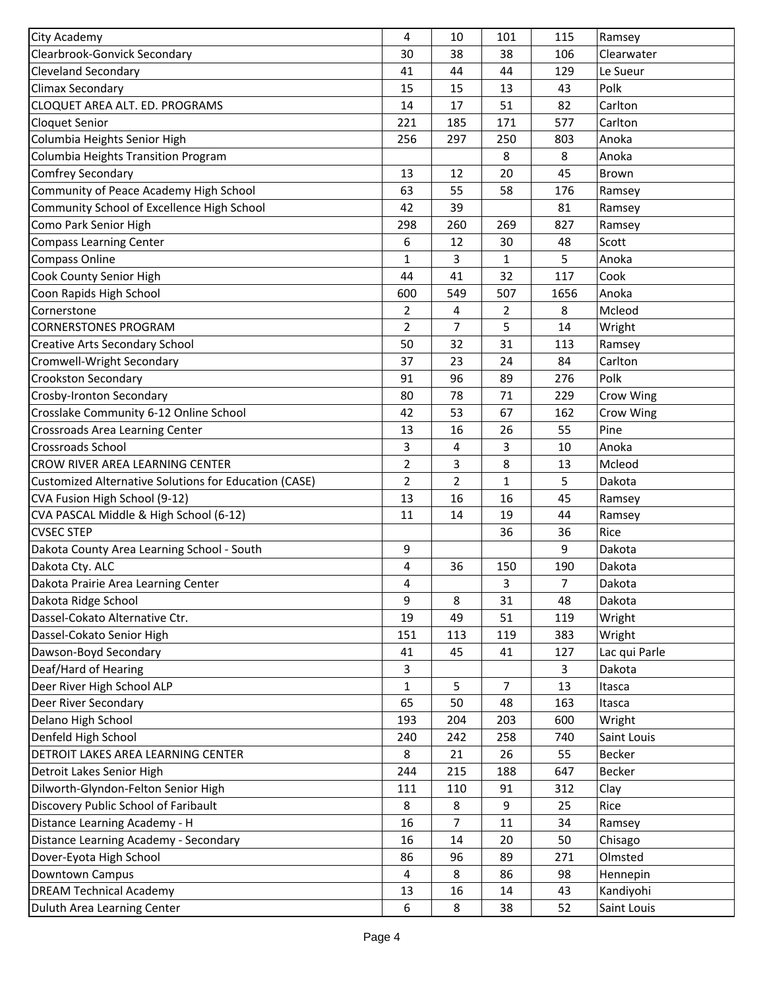| City Academy                                                 | 4              | 10             | 101            | 115          | Ramsey        |
|--------------------------------------------------------------|----------------|----------------|----------------|--------------|---------------|
| Clearbrook-Gonvick Secondary                                 | 30             | 38             | 38             | 106          | Clearwater    |
| <b>Cleveland Secondary</b>                                   | 41             | 44             | 44             | 129          | Le Sueur      |
| <b>Climax Secondary</b>                                      | 15             | 15             | 13             | 43           | Polk          |
| CLOQUET AREA ALT. ED. PROGRAMS                               | 14             | 17             | 51             | 82           | Carlton       |
| <b>Cloquet Senior</b>                                        | 221            | 185            | 171            | 577          | Carlton       |
| Columbia Heights Senior High                                 | 256            | 297            | 250            | 803          | Anoka         |
| Columbia Heights Transition Program                          |                |                | 8              | 8            | Anoka         |
| <b>Comfrey Secondary</b>                                     | 13             | 12             | 20             | 45           | <b>Brown</b>  |
| Community of Peace Academy High School                       | 63             | 55             | 58             | 176          | Ramsey        |
| Community School of Excellence High School                   | 42             | 39             |                | 81           | Ramsey        |
| Como Park Senior High                                        | 298            | 260            | 269            | 827          | Ramsey        |
| <b>Compass Learning Center</b>                               | 6              | 12             | 30             | 48           | Scott         |
| Compass Online                                               | 1              | 3              | $\mathbf{1}$   | 5            | Anoka         |
| Cook County Senior High                                      | 44             | 41             | 32             | 117          | Cook          |
| Coon Rapids High School                                      | 600            | 549            | 507            | 1656         | Anoka         |
| Cornerstone                                                  | 2              | 4              | 2              | 8            | Mcleod        |
| <b>CORNERSTONES PROGRAM</b>                                  | $\overline{2}$ | 7              | 5              | 14           | Wright        |
| Creative Arts Secondary School                               | 50             | 32             | 31             | 113          | Ramsey        |
| Cromwell-Wright Secondary                                    | 37             | 23             | 24             | 84           | Carlton       |
| Crookston Secondary                                          | 91             | 96             | 89             | 276          | Polk          |
| Crosby-Ironton Secondary                                     | 80             | 78             | 71             | 229          | Crow Wing     |
| Crosslake Community 6-12 Online School                       | 42             | 53             | 67             | 162          | Crow Wing     |
| Crossroads Area Learning Center                              | 13             | 16             | 26             | 55           | Pine          |
| <b>Crossroads School</b>                                     | 3              | 4              | 3              | 10           | Anoka         |
| CROW RIVER AREA LEARNING CENTER                              | 2              | 3              | 8              | 13           | Mcleod        |
| <b>Customized Alternative Solutions for Education (CASE)</b> | 2              | $\overline{2}$ | $\mathbf{1}$   | 5            | Dakota        |
| CVA Fusion High School (9-12)                                | 13             | 16             | 16             | 45           | Ramsey        |
| CVA PASCAL Middle & High School (6-12)                       | 11             | 14             | 19             | 44           | Ramsey        |
| <b>CVSEC STEP</b>                                            |                |                | 36             | 36           | Rice          |
| Dakota County Area Learning School - South                   | 9              |                |                | 9            | Dakota        |
| Dakota Cty. ALC                                              | 4              | 36             | 150            | 190          | Dakota        |
| Dakota Prairie Area Learning Center                          | 4              |                | 3              | 7            | Dakota        |
| Dakota Ridge School                                          | 9              | 8              | 31             | 48           | Dakota        |
| Dassel-Cokato Alternative Ctr.                               | 19             | 49             | 51             | 119          | Wright        |
| Dassel-Cokato Senior High                                    | 151            | 113            | 119            | 383          | Wright        |
| Dawson-Boyd Secondary                                        | 41             | 45             | 41             | 127          | Lac qui Parle |
| Deaf/Hard of Hearing                                         | 3              |                |                | $\mathbf{3}$ | Dakota        |
| Deer River High School ALP                                   | $\mathbf{1}$   | 5              | $\overline{7}$ | 13           | Itasca        |
| Deer River Secondary                                         | 65             | 50             | 48             | 163          | Itasca        |
| Delano High School                                           | 193            | 204            | 203            | 600          | Wright        |
| Denfeld High School                                          | 240            | 242            | 258            | 740          | Saint Louis   |
| DETROIT LAKES AREA LEARNING CENTER                           | 8              | 21             | 26             | 55           | Becker        |
| Detroit Lakes Senior High                                    | 244            | 215            | 188            | 647          | Becker        |
| Dilworth-Glyndon-Felton Senior High                          | 111            | 110            | 91             | 312          | Clay          |
| Discovery Public School of Faribault                         | 8              | 8              | 9              | 25           | Rice          |
| Distance Learning Academy - H                                | 16             | 7              | 11             | 34           | Ramsey        |
| Distance Learning Academy - Secondary                        | 16             | 14             | 20             | 50           | Chisago       |
| Dover-Eyota High School                                      | 86             | 96             | 89             | 271          | Olmsted       |
| Downtown Campus                                              | 4              | 8              | 86             | 98           | Hennepin      |
| <b>DREAM Technical Academy</b>                               | 13             | 16             | 14             | 43           | Kandiyohi     |
| Duluth Area Learning Center                                  | 6              | 8              | 38             | 52           | Saint Louis   |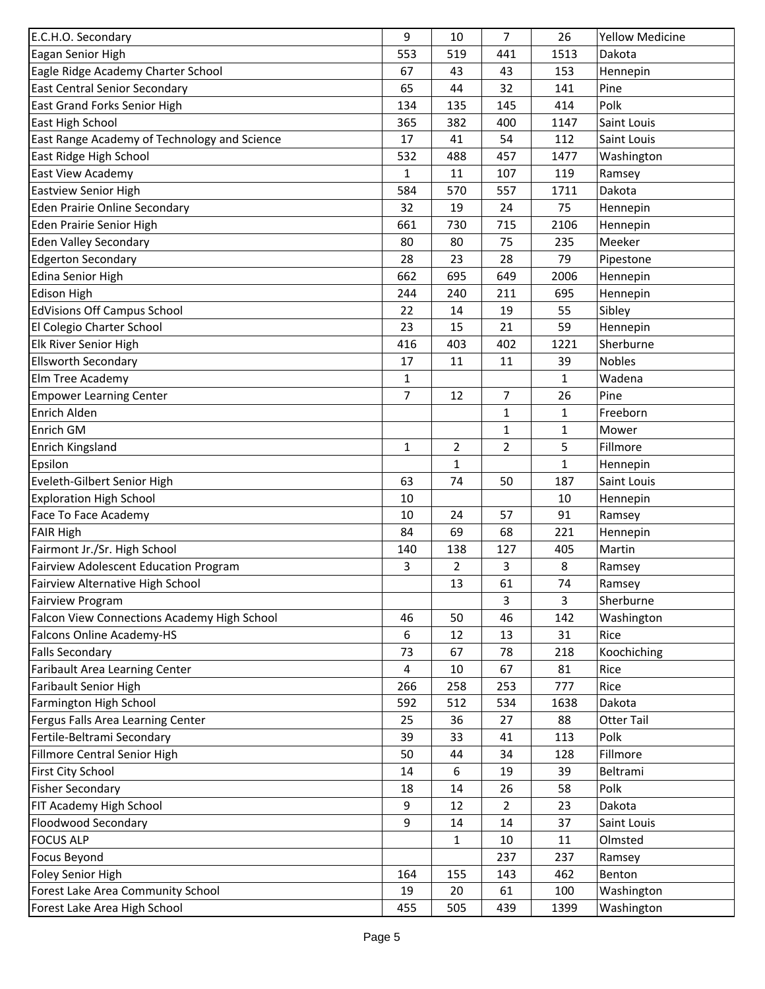| E.C.H.O. Secondary                           | 9            | 10           | 7              | 26           | <b>Yellow Medicine</b> |
|----------------------------------------------|--------------|--------------|----------------|--------------|------------------------|
| Eagan Senior High                            | 553          | 519          | 441            | 1513         | Dakota                 |
| Eagle Ridge Academy Charter School           | 67           | 43           | 43             | 153          | Hennepin               |
| <b>East Central Senior Secondary</b>         | 65           | 44           | 32             | 141          | Pine                   |
| East Grand Forks Senior High                 | 134          | 135          | 145            | 414          | Polk                   |
| East High School                             | 365          | 382          | 400            | 1147         | Saint Louis            |
| East Range Academy of Technology and Science | 17           | 41           | 54             | 112          | Saint Louis            |
| East Ridge High School                       | 532          | 488          | 457            | 1477         | Washington             |
| East View Academy                            | 1            | 11           | 107            | 119          | Ramsey                 |
| <b>Eastview Senior High</b>                  | 584          | 570          | 557            | 1711         | Dakota                 |
| Eden Prairie Online Secondary                | 32           | 19           | 24             | 75           | Hennepin               |
| Eden Prairie Senior High                     | 661          | 730          | 715            | 2106         | Hennepin               |
| <b>Eden Valley Secondary</b>                 | 80           | 80           | 75             | 235          | Meeker                 |
| <b>Edgerton Secondary</b>                    | 28           | 23           | 28             | 79           | Pipestone              |
| <b>Edina Senior High</b>                     | 662          | 695          | 649            | 2006         | Hennepin               |
| <b>Edison High</b>                           | 244          | 240          | 211            | 695          | Hennepin               |
| <b>EdVisions Off Campus School</b>           | 22           | 14           | 19             | 55           | Sibley                 |
| El Colegio Charter School                    | 23           | 15           | 21             | 59           | Hennepin               |
| Elk River Senior High                        | 416          | 403          | 402            | 1221         | Sherburne              |
| <b>Ellsworth Secondary</b>                   | 17           | 11           | 11             | 39           | <b>Nobles</b>          |
| Elm Tree Academy                             | $\mathbf{1}$ |              |                | $\mathbf{1}$ | Wadena                 |
| <b>Empower Learning Center</b>               | 7            | 12           | 7              | 26           | Pine                   |
| Enrich Alden                                 |              |              | 1              | $\mathbf{1}$ | Freeborn               |
| Enrich GM                                    |              |              | 1              | 1            | Mower                  |
| Enrich Kingsland                             | $\mathbf{1}$ | 2            | 2              | 5            | Fillmore               |
| Epsilon                                      |              | $\mathbf{1}$ |                | 1            | Hennepin               |
| Eveleth-Gilbert Senior High                  | 63           | 74           | 50             | 187          | Saint Louis            |
| <b>Exploration High School</b>               | 10           |              |                | 10           | Hennepin               |
| Face To Face Academy                         | 10           | 24           | 57             | 91           | Ramsey                 |
| <b>FAIR High</b>                             | 84           | 69           | 68             | 221          | Hennepin               |
| Fairmont Jr./Sr. High School                 | 140          | 138          | 127            | 405          | Martin                 |
| Fairview Adolescent Education Program        | 3            | 2            | 3              | 8            | Ramsey                 |
| Fairview Alternative High School             |              | 13           | 61             | 74           | Ramsey                 |
| Fairview Program                             |              |              | 3              | 3            | Sherburne              |
| Falcon View Connections Academy High School  | 46           | 50           | 46             | 142          | Washington             |
| Falcons Online Academy-HS                    | 6            | 12           | 13             | 31           | Rice                   |
| <b>Falls Secondary</b>                       | 73           | 67           | 78             | 218          | Koochiching            |
| Faribault Area Learning Center               | 4            | $10\,$       | 67             | 81           | Rice                   |
| Faribault Senior High                        | 266          | 258          | 253            | 777          | Rice                   |
| Farmington High School                       | 592          | 512          | 534            | 1638         | Dakota                 |
| Fergus Falls Area Learning Center            | 25           | 36           | 27             | 88           | <b>Otter Tail</b>      |
| Fertile-Beltrami Secondary                   | 39           | 33           | 41             | 113          | Polk                   |
| Fillmore Central Senior High                 | 50           | 44           | 34             | 128          | Fillmore               |
| First City School                            | 14           | 6            | 19             | 39           | Beltrami               |
| <b>Fisher Secondary</b>                      | 18           | 14           | 26             | 58           | Polk                   |
| FIT Academy High School                      | 9            | 12           | $\overline{2}$ | 23           | Dakota                 |
| Floodwood Secondary                          | 9            | 14           | 14             | 37           | Saint Louis            |
| <b>FOCUS ALP</b>                             |              | 1            | 10             | 11           | Olmsted                |
| <b>Focus Beyond</b>                          |              |              | 237            | 237          | Ramsey                 |
| Foley Senior High                            | 164          | 155          | 143            | 462          | Benton                 |
| Forest Lake Area Community School            | 19           | 20           | 61             | 100          | Washington             |
| Forest Lake Area High School                 | 455          | 505          | 439            | 1399         | Washington             |
|                                              |              |              |                |              |                        |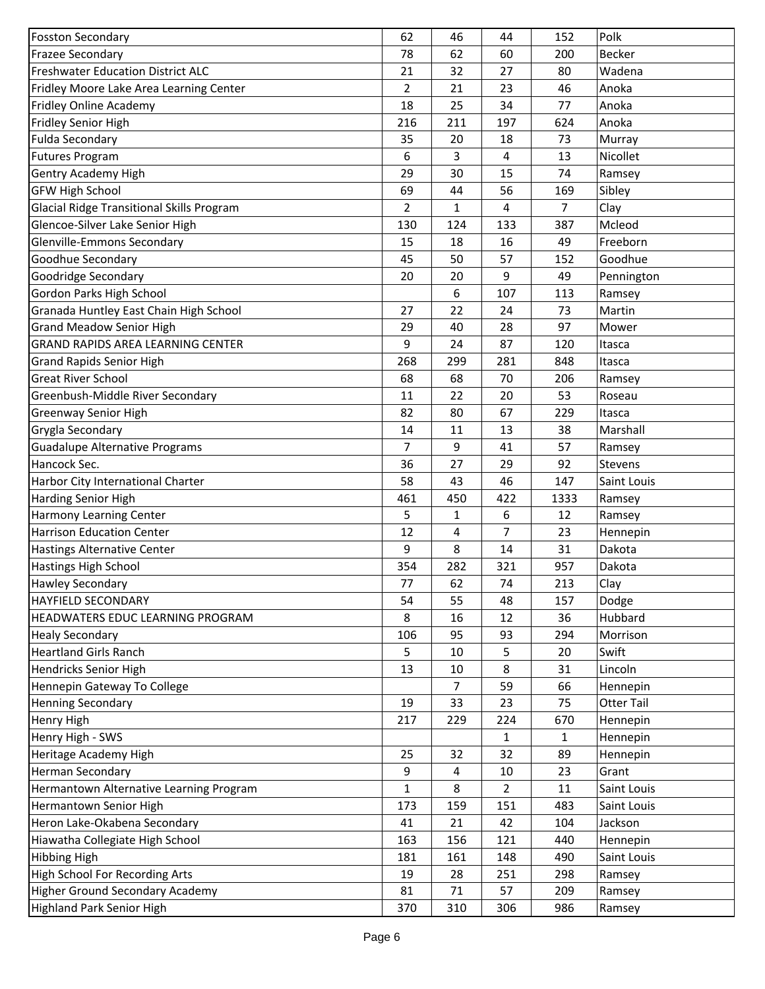| <b>Fosston Secondary</b>                  | 62             | 46           | 44  | 152          | Polk           |
|-------------------------------------------|----------------|--------------|-----|--------------|----------------|
| <b>Frazee Secondary</b>                   | 78             | 62           | 60  | 200          | <b>Becker</b>  |
| Freshwater Education District ALC         | 21             | 32           | 27  | 80           | Wadena         |
| Fridley Moore Lake Area Learning Center   | $\overline{2}$ | 21           | 23  | 46           | Anoka          |
| Fridley Online Academy                    | 18             | 25           | 34  | 77           | Anoka          |
| Fridley Senior High                       | 216            | 211          | 197 | 624          | Anoka          |
| <b>Fulda Secondary</b>                    | 35             | 20           | 18  | 73           | Murray         |
| <b>Futures Program</b>                    | 6              | 3            | 4   | 13           | Nicollet       |
| <b>Gentry Academy High</b>                | 29             | 30           | 15  | 74           | Ramsey         |
| <b>GFW High School</b>                    | 69             | 44           | 56  | 169          | Sibley         |
| Glacial Ridge Transitional Skills Program | 2              | $\mathbf{1}$ | 4   | 7            | Clay           |
| Glencoe-Silver Lake Senior High           | 130            | 124          | 133 | 387          | Mcleod         |
| <b>Glenville-Emmons Secondary</b>         | 15             | 18           | 16  | 49           | Freeborn       |
| Goodhue Secondary                         | 45             | 50           | 57  | 152          | Goodhue        |
| <b>Goodridge Secondary</b>                | 20             | 20           | 9   | 49           | Pennington     |
| Gordon Parks High School                  |                | 6            | 107 | 113          | Ramsey         |
| Granada Huntley East Chain High School    | 27             | 22           | 24  | 73           | Martin         |
| <b>Grand Meadow Senior High</b>           | 29             | 40           | 28  | 97           | Mower          |
| <b>GRAND RAPIDS AREA LEARNING CENTER</b>  | 9              | 24           | 87  | 120          | Itasca         |
| <b>Grand Rapids Senior High</b>           | 268            | 299          | 281 | 848          | Itasca         |
| <b>Great River School</b>                 | 68             | 68           | 70  | 206          | Ramsey         |
| Greenbush-Middle River Secondary          | 11             | 22           | 20  | 53           | Roseau         |
| <b>Greenway Senior High</b>               | 82             | 80           | 67  | 229          | Itasca         |
| Grygla Secondary                          | 14             | 11           | 13  | 38           | Marshall       |
| <b>Guadalupe Alternative Programs</b>     | $\overline{7}$ | 9            | 41  | 57           | Ramsey         |
| Hancock Sec.                              | 36             | 27           | 29  | 92           | <b>Stevens</b> |
| Harbor City International Charter         | 58             | 43           | 46  | 147          | Saint Louis    |
| <b>Harding Senior High</b>                | 461            | 450          | 422 | 1333         | Ramsey         |
| <b>Harmony Learning Center</b>            | 5              | 1            | 6   | 12           | Ramsey         |
| <b>Harrison Education Center</b>          | 12             | 4            | 7   | 23           | Hennepin       |
| <b>Hastings Alternative Center</b>        | 9              | 8            | 14  | 31           | Dakota         |
| <b>Hastings High School</b>               | 354            | 282          | 321 | 957          | Dakota         |
| <b>Hawley Secondary</b>                   | 77             | 62           | 74  | 213          | Clay           |
| HAYFIELD SECONDARY                        | 54             | 55           | 48  | 157          | Dodge          |
| HEADWATERS EDUC LEARNING PROGRAM          | 8              | 16           | 12  | 36           | Hubbard        |
| <b>Healy Secondary</b>                    | 106            | 95           | 93  | 294          | Morrison       |
| <b>Heartland Girls Ranch</b>              | 5              | 10           | 5   | 20           | Swift          |
| Hendricks Senior High                     | 13             | $10\,$       | 8   | 31           | Lincoln        |
| Hennepin Gateway To College               |                | 7            | 59  | 66           | Hennepin       |
| <b>Henning Secondary</b>                  | 19             | 33           | 23  | 75           | Otter Tail     |
| Henry High                                | 217            | 229          | 224 | 670          | Hennepin       |
| Henry High - SWS                          |                |              | 1   | $\mathbf{1}$ | Hennepin       |
| Heritage Academy High                     | 25             | 32           | 32  | 89           | Hennepin       |
| <b>Herman Secondary</b>                   | 9              | 4            | 10  | 23           | Grant          |
| Hermantown Alternative Learning Program   | $\mathbf{1}$   | 8            | 2   | 11           | Saint Louis    |
| Hermantown Senior High                    | 173            | 159          | 151 | 483          | Saint Louis    |
| Heron Lake-Okabena Secondary              | 41             | 21           | 42  | 104          | Jackson        |
| Hiawatha Collegiate High School           | 163            | 156          | 121 | 440          | Hennepin       |
| <b>Hibbing High</b>                       | 181            | 161          | 148 | 490          | Saint Louis    |
| High School For Recording Arts            | 19             | 28           | 251 | 298          | Ramsey         |
| <b>Higher Ground Secondary Academy</b>    | 81             | 71           | 57  | 209          | Ramsey         |
| <b>Highland Park Senior High</b>          | 370            | 310          | 306 | 986          | Ramsey         |
|                                           |                |              |     |              |                |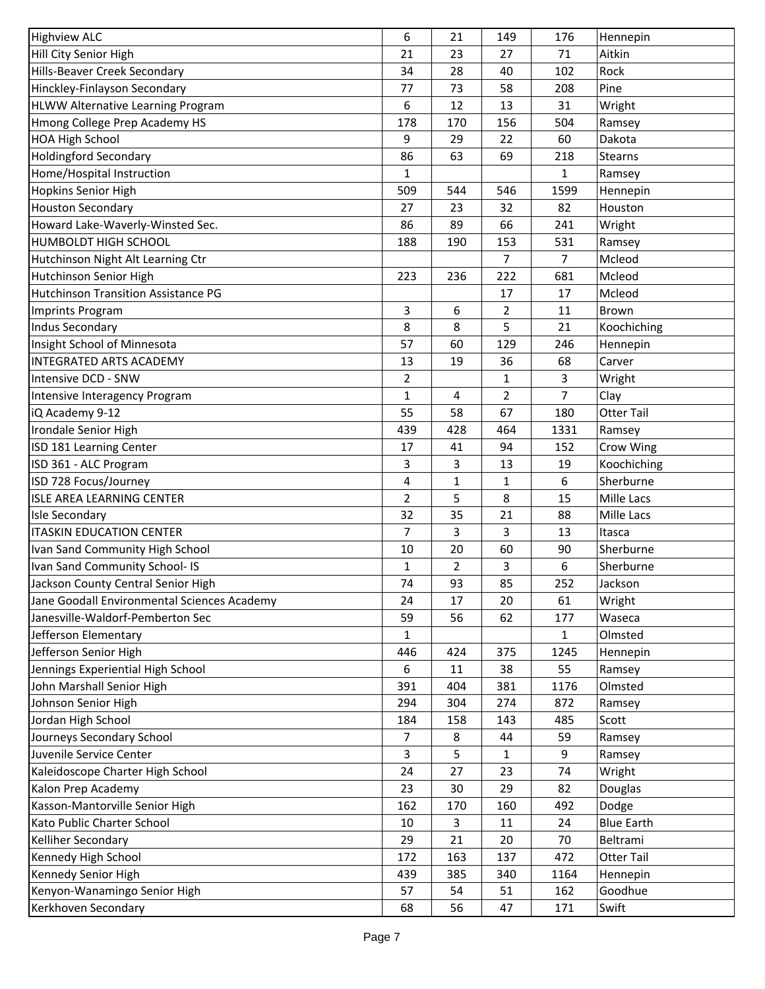| <b>Highview ALC</b>                         | 6              | 21             | 149            | 176            | Hennepin            |
|---------------------------------------------|----------------|----------------|----------------|----------------|---------------------|
| Hill City Senior High                       | 21             | 23             | 27             | 71             | Aitkin              |
| Hills-Beaver Creek Secondary                | 34             | 28             | 40             | 102            | Rock                |
| Hinckley-Finlayson Secondary                | 77             | 73             | 58             | 208            | Pine                |
| <b>HLWW Alternative Learning Program</b>    | 6              | 12             | 13             | 31             | Wright              |
| Hmong College Prep Academy HS               | 178            | 170            | 156            | 504            | Ramsey              |
| <b>HOA High School</b>                      | 9              | 29             | 22             | 60             | Dakota              |
| <b>Holdingford Secondary</b>                | 86             | 63             | 69             | 218            | <b>Stearns</b>      |
| Home/Hospital Instruction                   | 1              |                |                | $\mathbf{1}$   | Ramsey              |
| <b>Hopkins Senior High</b>                  | 509            | 544            | 546            | 1599           | Hennepin            |
| <b>Houston Secondary</b>                    | 27             | 23             | 32             | 82             | Houston             |
| Howard Lake-Waverly-Winsted Sec.            | 86             | 89             | 66             | 241            | Wright              |
| <b>HUMBOLDT HIGH SCHOOL</b>                 | 188            | 190            | 153            | 531            | Ramsey              |
| Hutchinson Night Alt Learning Ctr           |                |                | $\overline{7}$ | $\overline{7}$ | Mcleod              |
| Hutchinson Senior High                      | 223            | 236            | 222            | 681            | Mcleod              |
| <b>Hutchinson Transition Assistance PG</b>  |                |                | 17             | 17             | Mcleod              |
| <b>Imprints Program</b>                     | 3              | 6              | 2              | 11             | Brown               |
| <b>Indus Secondary</b>                      | 8              | 8              | 5              | 21             | Koochiching         |
| Insight School of Minnesota                 | 57             | 60             | 129            | 246            | Hennepin            |
| <b>INTEGRATED ARTS ACADEMY</b>              | 13             | 19             | 36             | 68             | Carver              |
| Intensive DCD - SNW                         | $\overline{2}$ |                | 1              | $\overline{3}$ | Wright              |
| Intensive Interagency Program               | 1              | 4              | $\overline{2}$ | $\overline{7}$ | Clay                |
| iQ Academy 9-12                             | 55             | 58             | 67             | 180            | <b>Otter Tail</b>   |
| Irondale Senior High                        | 439            | 428            | 464            | 1331           | Ramsey              |
| ISD 181 Learning Center                     | 17             | 41             | 94             | 152            | Crow Wing           |
| ISD 361 - ALC Program                       | 3              | 3              | 13             | 19             | Koochiching         |
| ISD 728 Focus/Journey                       | 4              | $\mathbf 1$    | 1              | 6              | Sherburne           |
| <b>ISLE AREA LEARNING CENTER</b>            | $\overline{2}$ | 5              | 8              | 15             | Mille Lacs          |
| <b>Isle Secondary</b>                       | 32             | 35             | 21             | 88             | Mille Lacs          |
| <b>ITASKIN EDUCATION CENTER</b>             |                |                |                |                |                     |
|                                             | 7              | 3<br>20        | 3              | 13             | Itasca<br>Sherburne |
| Ivan Sand Community High School             | 10             |                | 60             | 90             |                     |
| Ivan Sand Community School- IS              | 1              | $\overline{2}$ | 3              | 6              | Sherburne           |
| Jackson County Central Senior High          | 74             | 93             | 85             | 252            | Jackson             |
| Jane Goodall Environmental Sciences Academy | 24             | 17             | 20             | 61             | Wright              |
| Janesville-Waldorf-Pemberton Sec            | 59             | 56             | 62             | 177            | Waseca              |
| Jefferson Elementary                        | 1              |                |                | $\mathbf{1}$   | Olmsted             |
| Jefferson Senior High                       | 446            | 424            | 375            | 1245           | Hennepin            |
| Jennings Experiential High School           | 6              | 11             | 38             | 55             | Ramsey              |
| John Marshall Senior High                   | 391            | 404            | 381            | 1176           | Olmsted             |
| Johnson Senior High                         | 294            | 304            | 274            | 872            | Ramsey              |
| Jordan High School                          | 184            | 158            | 143            | 485            | Scott               |
| Journeys Secondary School                   | 7              | 8              | 44             | 59             | Ramsey              |
| Juvenile Service Center                     | 3              | 5              | 1              | 9              | Ramsey              |
| Kaleidoscope Charter High School            | 24             | 27             | 23             | 74             | Wright              |
| Kalon Prep Academy                          | 23             | 30             | 29             | 82             | Douglas             |
| Kasson-Mantorville Senior High              | 162            | 170            | 160            | 492            | Dodge               |
| Kato Public Charter School                  | 10             | 3              | 11             | 24             | <b>Blue Earth</b>   |
| Kelliher Secondary                          | 29             | 21             | 20             | 70             | Beltrami            |
| Kennedy High School                         | 172            | 163            | 137            | 472            | Otter Tail          |
| Kennedy Senior High                         | 439            | 385            | 340            | 1164           | Hennepin            |
| Kenyon-Wanamingo Senior High                | 57             | 54             | 51             | 162            | Goodhue             |
| Kerkhoven Secondary                         | 68             | 56             | 47             | 171            | Swift               |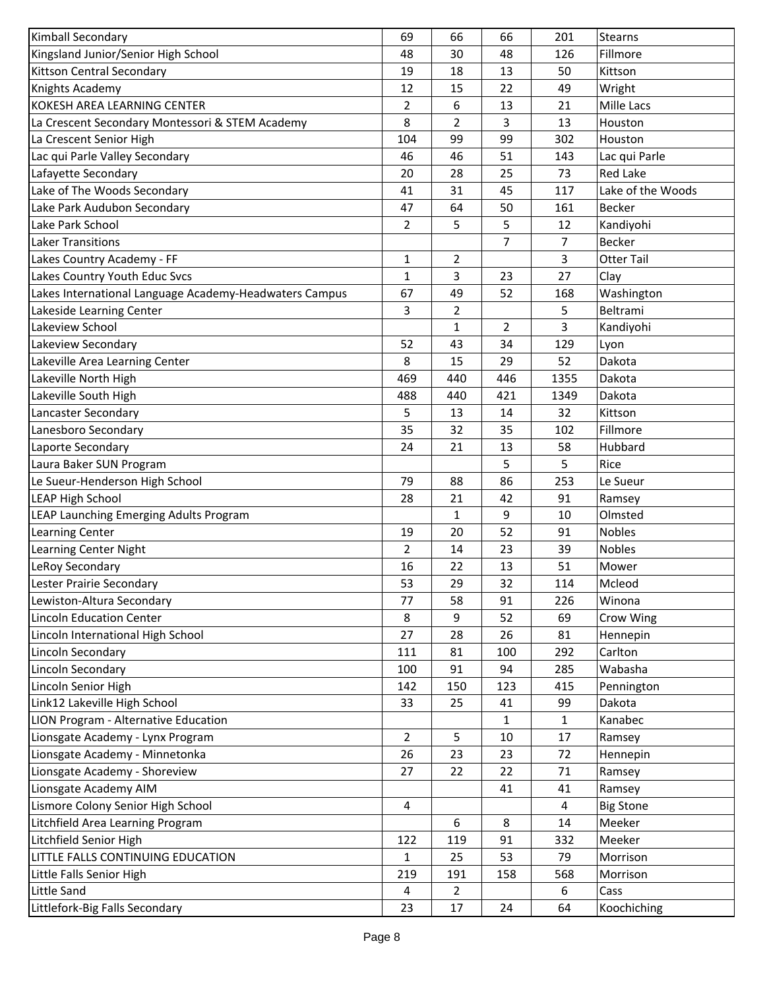| Kimball Secondary                                      | 69             | 66             | 66           | 201            | <b>Stearns</b>    |
|--------------------------------------------------------|----------------|----------------|--------------|----------------|-------------------|
| Kingsland Junior/Senior High School                    | 48             | 30             | 48           | 126            | Fillmore          |
| Kittson Central Secondary                              | 19             | 18             | 13           | 50             | Kittson           |
| Knights Academy                                        | 12             | 15             | 22           | 49             | Wright            |
| KOKESH AREA LEARNING CENTER                            | 2              | 6              | 13           | 21             | Mille Lacs        |
| La Crescent Secondary Montessori & STEM Academy        | 8              | $\overline{2}$ | 3            | 13             | Houston           |
| La Crescent Senior High                                | 104            | 99             | 99           | 302            | Houston           |
| Lac qui Parle Valley Secondary                         | 46             | 46             | 51           | 143            | Lac qui Parle     |
| Lafayette Secondary                                    | 20             | 28             | 25           | 73             | Red Lake          |
| Lake of The Woods Secondary                            | 41             | 31             | 45           | 117            | Lake of the Woods |
| Lake Park Audubon Secondary                            | 47             | 64             | 50           | 161            | Becker            |
| Lake Park School                                       | 2              | 5              | 5            | 12             | Kandiyohi         |
| <b>Laker Transitions</b>                               |                |                | 7            | $\overline{7}$ | <b>Becker</b>     |
| Lakes Country Academy - FF                             | $\mathbf{1}$   | $\overline{2}$ |              | 3              | <b>Otter Tail</b> |
| Lakes Country Youth Educ Svcs                          | $\mathbf{1}$   | 3              | 23           | 27             | Clay              |
| Lakes International Language Academy-Headwaters Campus | 67             | 49             | 52           | 168            | Washington        |
| Lakeside Learning Center                               | 3              | $\overline{2}$ |              | 5              | Beltrami          |
| Lakeview School                                        |                | $\mathbf{1}$   | 2            | 3              | Kandiyohi         |
| Lakeview Secondary                                     | 52             | 43             | 34           | 129            | Lyon              |
| Lakeville Area Learning Center                         | 8              | 15             | 29           | 52             | Dakota            |
| Lakeville North High                                   | 469            | 440            | 446          | 1355           | Dakota            |
| Lakeville South High                                   | 488            | 440            | 421          | 1349           | Dakota            |
| Lancaster Secondary                                    | 5              | 13             | 14           | 32             | Kittson           |
| Lanesboro Secondary                                    | 35             | 32             | 35           | 102            | Fillmore          |
| Laporte Secondary                                      | 24             | 21             | 13           | 58             | Hubbard           |
| Laura Baker SUN Program                                |                |                | 5            | 5              | Rice              |
| Le Sueur-Henderson High School                         | 79             | 88             | 86           | 253            | Le Sueur          |
| <b>LEAP High School</b>                                | 28             | 21             | 42           | 91             | Ramsey            |
| LEAP Launching Emerging Adults Program                 |                | 1              | 9            | 10             | Olmsted           |
| <b>Learning Center</b>                                 | 19             | 20             | 52           | 91             | Nobles            |
| Learning Center Night                                  | $\overline{2}$ | 14             | 23           | 39             | <b>Nobles</b>     |
| LeRoy Secondary                                        | 16             | 22             | 13           | 51             | Mower             |
| Lester Prairie Secondary                               | 53             | 29             | 32           | 114            | Mcleod            |
| Lewiston-Altura Secondary                              | 77             | 58             | 91           | 226            | Winona            |
| <b>Lincoln Education Center</b>                        | 8              | 9              | 52           | 69             | Crow Wing         |
| Lincoln International High School                      | 27             | 28             | 26           | 81             | Hennepin          |
| Lincoln Secondary                                      | 111            | 81             | 100          | 292            | Carlton           |
| Lincoln Secondary                                      | 100            | 91             | 94           | 285            | Wabasha           |
| Lincoln Senior High                                    | 142            | 150            | 123          | 415            | Pennington        |
| Link12 Lakeville High School                           | 33             | 25             | 41           | 99             | Dakota            |
| LION Program - Alternative Education                   |                |                | $\mathbf{1}$ | $\mathbf{1}$   | Kanabec           |
| Lionsgate Academy - Lynx Program                       | $\overline{2}$ | 5              | 10           | 17             | Ramsey            |
| Lionsgate Academy - Minnetonka                         | 26             | 23             | 23           | 72             | Hennepin          |
| Lionsgate Academy - Shoreview                          | 27             | 22             | 22           | 71             | Ramsey            |
| Lionsgate Academy AIM                                  |                |                | 41           | 41             | Ramsey            |
| Lismore Colony Senior High School                      | 4              |                |              | 4              | <b>Big Stone</b>  |
| Litchfield Area Learning Program                       |                | 6              | 8            | 14             | Meeker            |
| Litchfield Senior High                                 | 122            | 119            | 91           | 332            | Meeker            |
| LITTLE FALLS CONTINUING EDUCATION                      | $\mathbf{1}$   | 25             | 53           | 79             | Morrison          |
| Little Falls Senior High                               | 219            | 191            | 158          | 568            | Morrison          |
| Little Sand                                            | 4              | 2              |              | 6              | Cass              |
| Littlefork-Big Falls Secondary                         | 23             | 17             | 24           | 64             | Koochiching       |
|                                                        |                |                |              |                |                   |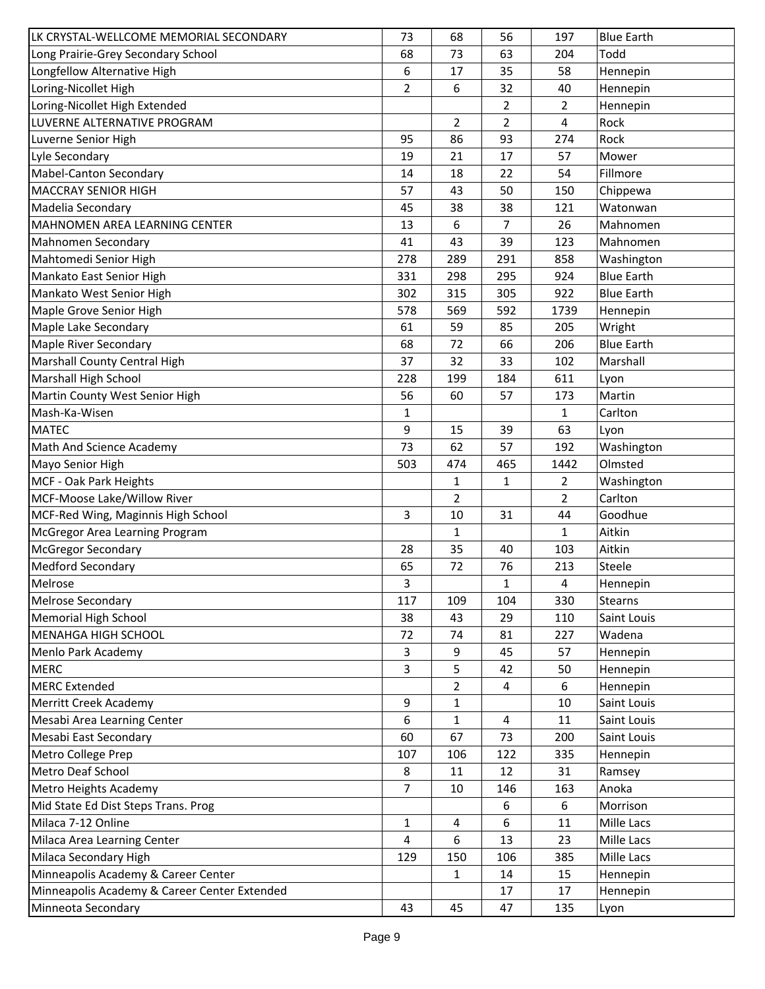| LK CRYSTAL-WELLCOME MEMORIAL SECONDARY       | 73             | 68           | 56  | 197            | <b>Blue Earth</b> |
|----------------------------------------------|----------------|--------------|-----|----------------|-------------------|
| Long Prairie-Grey Secondary School           | 68             | 73           | 63  | 204            | Todd              |
| Longfellow Alternative High                  | 6              | 17           | 35  | 58             | Hennepin          |
| Loring-Nicollet High                         | $\overline{2}$ | 6            | 32  | 40             | Hennepin          |
| Loring-Nicollet High Extended                |                |              | 2   | 2              | Hennepin          |
| LUVERNE ALTERNATIVE PROGRAM                  |                | 2            | 2   | 4              | Rock              |
| Luverne Senior High                          | 95             | 86           | 93  | 274            | Rock              |
| Lyle Secondary                               | 19             | 21           | 17  | 57             | Mower             |
| <b>Mabel-Canton Secondary</b>                | 14             | 18           | 22  | 54             | Fillmore          |
| <b>MACCRAY SENIOR HIGH</b>                   | 57             | 43           | 50  | 150            | Chippewa          |
| Madelia Secondary                            | 45             | 38           | 38  | 121            | Watonwan          |
| MAHNOMEN AREA LEARNING CENTER                | 13             | 6            | 7   | 26             | Mahnomen          |
| Mahnomen Secondary                           | 41             | 43           | 39  | 123            | Mahnomen          |
| Mahtomedi Senior High                        | 278            | 289          | 291 | 858            | Washington        |
| Mankato East Senior High                     | 331            | 298          | 295 | 924            | <b>Blue Earth</b> |
| Mankato West Senior High                     | 302            | 315          | 305 | 922            | <b>Blue Earth</b> |
| Maple Grove Senior High                      | 578            | 569          | 592 | 1739           | Hennepin          |
| Maple Lake Secondary                         | 61             | 59           | 85  | 205            | Wright            |
| <b>Maple River Secondary</b>                 | 68             | 72           | 66  | 206            | <b>Blue Earth</b> |
| Marshall County Central High                 | 37             | 32           | 33  | 102            | Marshall          |
| Marshall High School                         | 228            | 199          | 184 | 611            | Lyon              |
| Martin County West Senior High               | 56             | 60           | 57  | 173            | Martin            |
| Mash-Ka-Wisen                                | 1              |              |     | 1              | Carlton           |
| <b>MATEC</b>                                 | 9              | 15           | 39  | 63             | Lyon              |
| Math And Science Academy                     | 73             | 62           | 57  | 192            | Washington        |
| Mayo Senior High                             | 503            | 474          | 465 | 1442           | Olmsted           |
| MCF - Oak Park Heights                       |                | $\mathbf{1}$ | 1   | $\overline{2}$ | Washington        |
| MCF-Moose Lake/Willow River                  |                | 2            |     | $\overline{2}$ | Carlton           |
| MCF-Red Wing, Maginnis High School           | 3              | 10           | 31  | 44             | Goodhue           |
| McGregor Area Learning Program               |                | $\mathbf{1}$ |     | 1              | Aitkin            |
| <b>McGregor Secondary</b>                    | 28             | 35           | 40  | 103            | Aitkin            |
| <b>Medford Secondary</b>                     | 65             | 72           | 76  | 213            | Steele            |
| Melrose                                      | 3              |              | 1   | 4              | Hennepin          |
| Melrose Secondary                            | 117            | 109          | 104 | 330            | Stearns           |
| Memorial High School                         | 38             | 43           | 29  | 110            | Saint Louis       |
| <b>MENAHGA HIGH SCHOOL</b>                   | 72             | 74           | 81  | 227            | Wadena            |
| Menlo Park Academy                           | 3              | 9            | 45  | 57             | Hennepin          |
| <b>MERC</b>                                  | 3              | 5            | 42  | 50             | Hennepin          |
| <b>MERC Extended</b>                         |                | 2            | 4   | 6              | Hennepin          |
| Merritt Creek Academy                        | 9              | 1            |     | 10             | Saint Louis       |
| Mesabi Area Learning Center                  | 6              | 1            | 4   | 11             | Saint Louis       |
| Mesabi East Secondary                        | 60             | 67           | 73  | 200            | Saint Louis       |
| Metro College Prep                           | 107            | 106          | 122 | 335            | Hennepin          |
| Metro Deaf School                            | 8              | 11           | 12  | 31             | Ramsey            |
| Metro Heights Academy                        | $\overline{7}$ | 10           | 146 | 163            | Anoka             |
| Mid State Ed Dist Steps Trans. Prog          |                |              | 6   | 6              | Morrison          |
| Milaca 7-12 Online                           | 1              | 4            | 6   | 11             | Mille Lacs        |
| Milaca Area Learning Center                  | 4              | 6            | 13  | 23             | Mille Lacs        |
| Milaca Secondary High                        | 129            | 150          | 106 | 385            | Mille Lacs        |
| Minneapolis Academy & Career Center          |                | 1            | 14  | 15             | Hennepin          |
| Minneapolis Academy & Career Center Extended |                |              | 17  | 17             | Hennepin          |
| Minneota Secondary                           | 43             | 45           | 47  | 135            | Lyon              |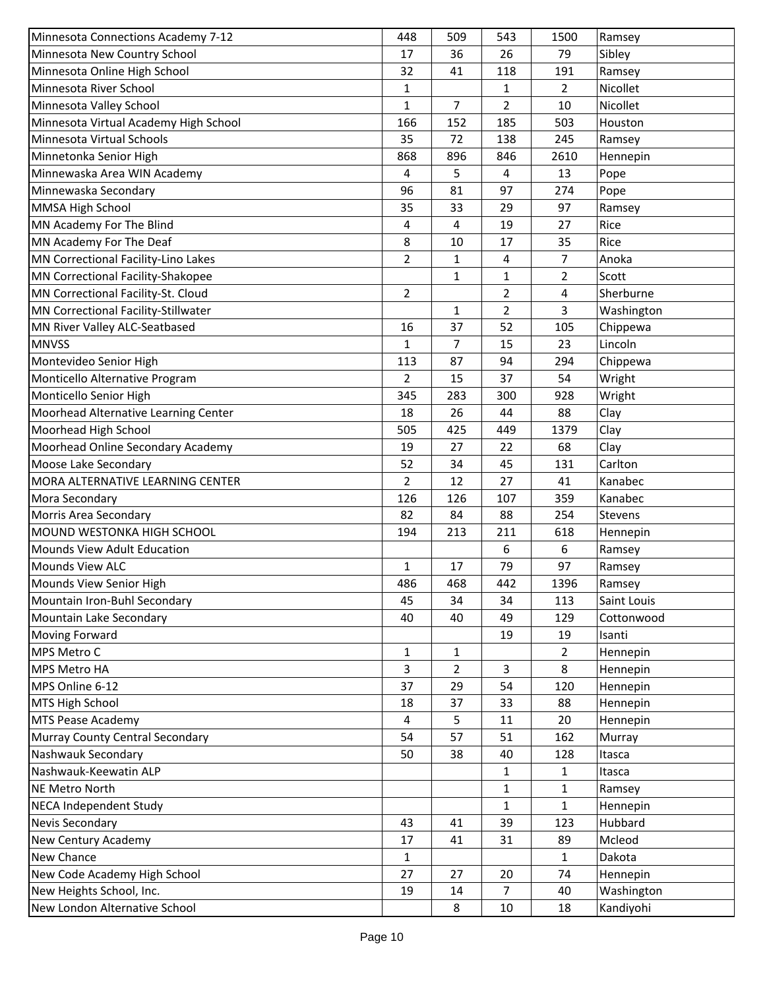| Minnesota Connections Academy 7-12    | 448            | 509          | 543          | 1500           | Ramsey      |
|---------------------------------------|----------------|--------------|--------------|----------------|-------------|
| Minnesota New Country School          | 17             | 36           | 26           | 79             | Sibley      |
| Minnesota Online High School          | 32             | 41           | 118          | 191            | Ramsey      |
| Minnesota River School                | 1              |              | 1            | $\overline{2}$ | Nicollet    |
| Minnesota Valley School               | 1              | 7            | 2            | 10             | Nicollet    |
| Minnesota Virtual Academy High School | 166            | 152          | 185          | 503            | Houston     |
| Minnesota Virtual Schools             | 35             | 72           | 138          | 245            | Ramsey      |
| Minnetonka Senior High                | 868            | 896          | 846          | 2610           | Hennepin    |
| Minnewaska Area WIN Academy           | 4              | 5            | 4            | 13             | Pope        |
| Minnewaska Secondary                  | 96             | 81           | 97           | 274            | Pope        |
| MMSA High School                      | 35             | 33           | 29           | 97             | Ramsey      |
| MN Academy For The Blind              | 4              | 4            | 19           | 27             | Rice        |
| MN Academy For The Deaf               | 8              | 10           | 17           | 35             | Rice        |
| MN Correctional Facility-Lino Lakes   | $\overline{2}$ | $\mathbf{1}$ | 4            | $\overline{7}$ | Anoka       |
| MN Correctional Facility-Shakopee     |                | 1            | $\mathbf{1}$ | $\overline{2}$ | Scott       |
| MN Correctional Facility-St. Cloud    | 2              |              | 2            | 4              | Sherburne   |
| MN Correctional Facility-Stillwater   |                | 1            | 2            | 3              | Washington  |
| MN River Valley ALC-Seatbased         | 16             | 37           | 52           | 105            | Chippewa    |
| <b>MNVSS</b>                          | 1              | 7            | 15           | 23             | Lincoln     |
| Montevideo Senior High                | 113            | 87           | 94           | 294            | Chippewa    |
| Monticello Alternative Program        | $\overline{2}$ | 15           | 37           | 54             | Wright      |
| Monticello Senior High                | 345            | 283          | 300          | 928            | Wright      |
| Moorhead Alternative Learning Center  | 18             | 26           | 44           | 88             | Clay        |
| Moorhead High School                  | 505            | 425          | 449          | 1379           | Clay        |
| Moorhead Online Secondary Academy     | 19             | 27           | 22           | 68             | Clay        |
| Moose Lake Secondary                  | 52             | 34           | 45           | 131            | Carlton     |
| MORA ALTERNATIVE LEARNING CENTER      | $\overline{2}$ | 12           | 27           | 41             | Kanabec     |
| Mora Secondary                        | 126            | 126          | 107          | 359            | Kanabec     |
| Morris Area Secondary                 | 82             | 84           | 88           | 254            | Stevens     |
| MOUND WESTONKA HIGH SCHOOL            | 194            | 213          | 211          | 618            | Hennepin    |
| Mounds View Adult Education           |                |              | 6            | 6              | Ramsey      |
| Mounds View ALC                       | $\mathbf{1}$   | 17           | 79           | 97             | Ramsey      |
| Mounds View Senior High               | 486            | 468          | 442          | 1396           | Ramsey      |
| Mountain Iron-Buhl Secondary          | 45             | 34           | 34           | 113            | Saint Louis |
| Mountain Lake Secondary               | 40             | 40           | 49           | 129            | Cottonwood  |
| <b>Moving Forward</b>                 |                |              | 19           | 19             | Isanti      |
| MPS Metro C                           | 1              | 1            |              | $\overline{2}$ | Hennepin    |
| MPS Metro HA                          | 3              | 2            | 3            | 8              | Hennepin    |
| MPS Online 6-12                       | 37             | 29           | 54           | 120            | Hennepin    |
| MTS High School                       | 18             | 37           | 33           | 88             | Hennepin    |
| <b>MTS Pease Academy</b>              | 4              | 5            | 11           | 20             | Hennepin    |
| Murray County Central Secondary       | 54             | 57           | 51           | 162            | Murray      |
| Nashwauk Secondary                    | 50             | 38           | 40           | 128            | Itasca      |
| Nashwauk-Keewatin ALP                 |                |              | 1            | 1              | Itasca      |
| NE Metro North                        |                |              | 1            | $\mathbf{1}$   | Ramsey      |
| <b>NECA Independent Study</b>         |                |              | 1            | $\mathbf{1}$   | Hennepin    |
| Nevis Secondary                       | 43             | 41           | 39           | 123            | Hubbard     |
| New Century Academy                   | 17             | 41           | 31           | 89             | Mcleod      |
| New Chance                            | $\mathbf{1}$   |              |              | 1              | Dakota      |
| New Code Academy High School          | 27             | 27           | 20           | 74             | Hennepin    |
| New Heights School, Inc.              | 19             | 14           | 7            | 40             | Washington  |
| New London Alternative School         |                | 8            | 10           | 18             | Kandiyohi   |
|                                       |                |              |              |                |             |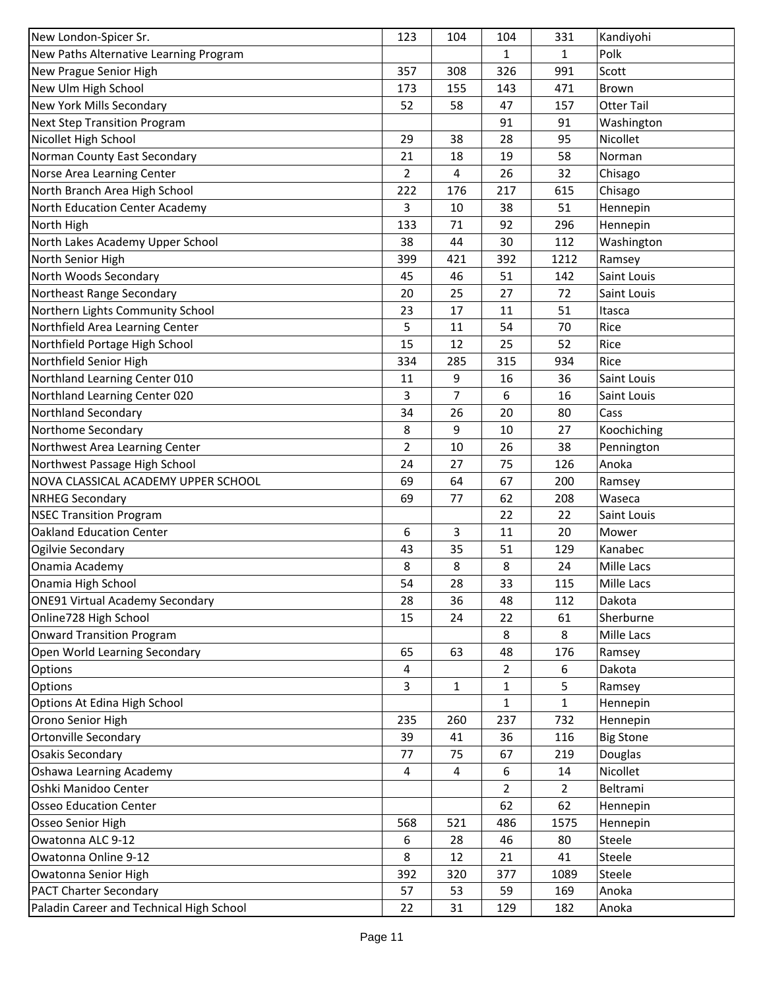| New London-Spicer Sr.                    | 123 | 104            | 104            | 331            | Kandiyohi         |
|------------------------------------------|-----|----------------|----------------|----------------|-------------------|
| New Paths Alternative Learning Program   |     |                | 1              | 1              | Polk              |
| New Prague Senior High                   | 357 | 308            | 326            | 991            | Scott             |
| New Ulm High School                      | 173 | 155            | 143            | 471            | Brown             |
| New York Mills Secondary                 | 52  | 58             | 47             | 157            | <b>Otter Tail</b> |
| <b>Next Step Transition Program</b>      |     |                | 91             | 91             | Washington        |
| Nicollet High School                     | 29  | 38             | 28             | 95             | Nicollet          |
| Norman County East Secondary             | 21  | 18             | 19             | 58             | Norman            |
| Norse Area Learning Center               | 2   | 4              | 26             | 32             | Chisago           |
| North Branch Area High School            | 222 | 176            | 217            | 615            | Chisago           |
| North Education Center Academy           | 3   | 10             | 38             | 51             | Hennepin          |
| North High                               | 133 | 71             | 92             | 296            | Hennepin          |
| North Lakes Academy Upper School         | 38  | 44             | 30             | 112            | Washington        |
| North Senior High                        | 399 | 421            | 392            | 1212           | Ramsey            |
| North Woods Secondary                    | 45  | 46             | 51             | 142            | Saint Louis       |
| Northeast Range Secondary                | 20  | 25             | 27             | 72             | Saint Louis       |
| Northern Lights Community School         | 23  | 17             | 11             | 51             | Itasca            |
| Northfield Area Learning Center          | 5   | 11             | 54             | 70             | Rice              |
| Northfield Portage High School           | 15  | 12             | 25             | 52             | Rice              |
| Northfield Senior High                   | 334 | 285            | 315            | 934            | Rice              |
| Northland Learning Center 010            | 11  | 9              | 16             | 36             | Saint Louis       |
| Northland Learning Center 020            | 3   | $\overline{7}$ | 6              | 16             | Saint Louis       |
| Northland Secondary                      | 34  | 26             | 20             | 80             | Cass              |
| Northome Secondary                       | 8   | 9              | 10             | 27             | Koochiching       |
| Northwest Area Learning Center           | 2   | 10             | 26             | 38             | Pennington        |
| Northwest Passage High School            | 24  | 27             | 75             | 126            | Anoka             |
| NOVA CLASSICAL ACADEMY UPPER SCHOOL      | 69  | 64             | 67             | 200            | Ramsey            |
| <b>NRHEG Secondary</b>                   | 69  | 77             | 62             | 208            | Waseca            |
| <b>NSEC Transition Program</b>           |     |                | 22             | 22             | Saint Louis       |
| <b>Oakland Education Center</b>          | 6   | 3              | 11             | 20             | Mower             |
| Ogilvie Secondary                        | 43  | 35             | 51             | 129            | Kanabec           |
| Onamia Academy                           | 8   | 8              | 8              | 24             | Mille Lacs        |
| Onamia High School                       | 54  | 28             | 33             | 115            | Mille Lacs        |
| <b>ONE91 Virtual Academy Secondary</b>   | 28  | 36             | 48             | 112            | Dakota            |
| Online728 High School                    | 15  | 24             | 22             | 61             | Sherburne         |
| <b>Onward Transition Program</b>         |     |                | 8              | 8              | Mille Lacs        |
| Open World Learning Secondary            | 65  | 63             | 48             | 176            | Ramsey            |
| Options                                  | 4   |                | $\overline{2}$ | 6              | Dakota            |
| Options                                  | 3   | 1              | $\mathbf{1}$   | 5              | Ramsey            |
| Options At Edina High School             |     |                | 1              | 1              | Hennepin          |
| Orono Senior High                        | 235 | 260            | 237            | 732            | Hennepin          |
| <b>Ortonville Secondary</b>              | 39  | 41             | 36             | 116            | <b>Big Stone</b>  |
| <b>Osakis Secondary</b>                  | 77  | 75             | 67             | 219            | Douglas           |
| Oshawa Learning Academy                  | 4   | 4              | 6              | 14             | Nicollet          |
| Oshki Manidoo Center                     |     |                | 2              | $\overline{2}$ | Beltrami          |
| <b>Osseo Education Center</b>            |     |                | 62             | 62             | Hennepin          |
| Osseo Senior High                        | 568 | 521            | 486            | 1575           | Hennepin          |
| Owatonna ALC 9-12                        | 6   | 28             | 46             | 80             | Steele            |
| Owatonna Online 9-12                     | 8   | 12             | 21             | 41             | Steele            |
| Owatonna Senior High                     | 392 | 320            | 377            | 1089           | Steele            |
| <b>PACT Charter Secondary</b>            | 57  | 53             | 59             | 169            | Anoka             |
| Paladin Career and Technical High School | 22  | 31             | 129            | 182            | Anoka             |
|                                          |     |                |                |                |                   |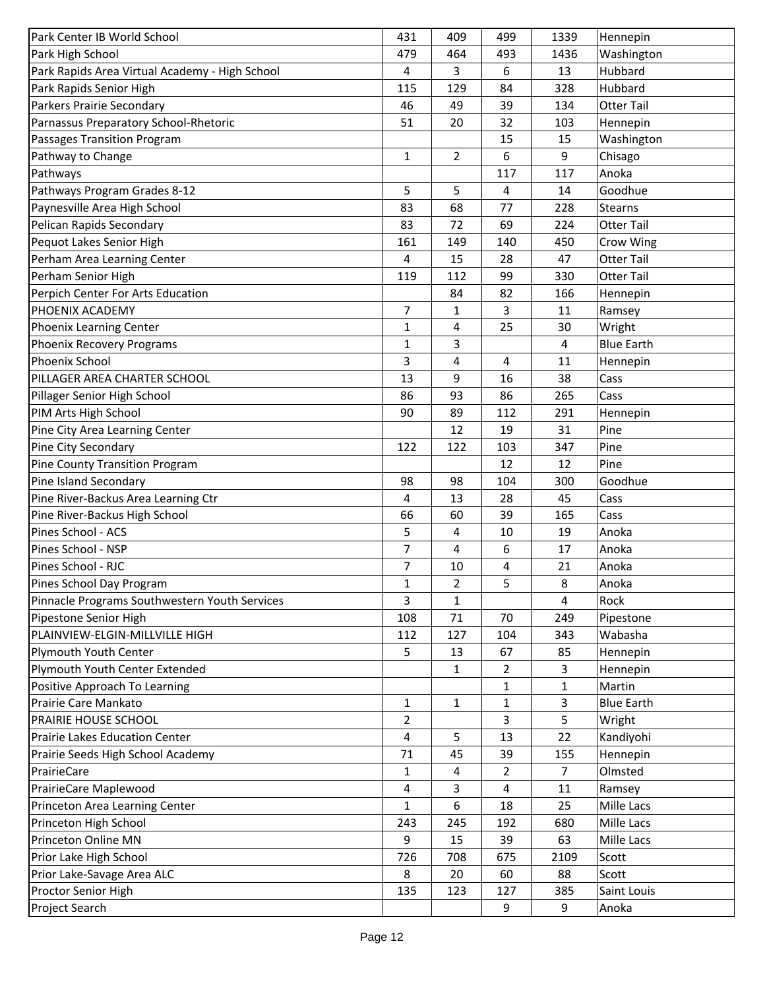| Park Center IB World School                    | 431            | 409            | 499       | 1339           | Hennepin          |
|------------------------------------------------|----------------|----------------|-----------|----------------|-------------------|
| Park High School                               | 479            | 464            | 493       | 1436           | Washington        |
| Park Rapids Area Virtual Academy - High School | 4              | 3              | 6         | 13             | Hubbard           |
| Park Rapids Senior High                        | 115            | 129            | 84        | 328            | Hubbard           |
| Parkers Prairie Secondary                      | 46             | 49             | 39        | 134            | <b>Otter Tail</b> |
| Parnassus Preparatory School-Rhetoric          | 51             | 20             | 32        | 103            | Hennepin          |
| Passages Transition Program                    |                |                | 15        | 15             | Washington        |
| Pathway to Change                              | 1              | $\mathbf{2}$   | 6         | 9              | Chisago           |
| Pathways                                       |                |                | 117       | 117            | Anoka             |
| Pathways Program Grades 8-12                   | 5              | 5              | 4         | 14             | Goodhue           |
| Paynesville Area High School                   | 83             | 68             | 77        | 228            | Stearns           |
| Pelican Rapids Secondary                       | 83             | 72             | 69        | 224            | <b>Otter Tail</b> |
| Pequot Lakes Senior High                       | 161            | 149            | 140       | 450            | Crow Wing         |
| Perham Area Learning Center                    | 4              | 15             | 28        | 47             | <b>Otter Tail</b> |
| Perham Senior High                             | 119            | 112            | 99        | 330            | <b>Otter Tail</b> |
| Perpich Center For Arts Education              |                | 84             | 82        | 166            | Hennepin          |
| PHOENIX ACADEMY                                | $\overline{7}$ | 1              | 3         | 11             | Ramsey            |
| <b>Phoenix Learning Center</b>                 | $\mathbf{1}$   | 4              | 25        | 30             | Wright            |
| Phoenix Recovery Programs                      | 1              | 3              |           | 4              | <b>Blue Earth</b> |
| <b>Phoenix School</b>                          | 3              | 4              | 4         | 11             | Hennepin          |
| PILLAGER AREA CHARTER SCHOOL                   | 13             | 9              | 16        | 38             | Cass              |
| Pillager Senior High School                    | 86             | 93             | 86        | 265            | Cass              |
| PIM Arts High School                           | 90             | 89             | 112       | 291            | Hennepin          |
| Pine City Area Learning Center                 |                | 12             | 19        | 31             | Pine              |
| Pine City Secondary                            | 122            |                |           | 347            | Pine              |
| Pine County Transition Program                 |                | 122            | 103<br>12 | 12             | Pine              |
|                                                | 98             |                |           |                |                   |
| Pine Island Secondary                          |                | 98             | 104       | 300            | Goodhue           |
| Pine River-Backus Area Learning Ctr            | 4              | 13             | 28        | 45             | Cass              |
| Pine River-Backus High School                  | 66             | 60             | 39        | 165            | Cass              |
| Pines School - ACS                             | 5              | 4              | 10        | 19             | Anoka             |
| Pines School - NSP                             | 7              | 4              | 6         | 17             | Anoka             |
| Pines School - RJC                             | $\overline{7}$ | 10             | 4         | 21             | Anoka             |
| Pines School Day Program                       | $\mathbf{1}$   | $\overline{2}$ | 5         | 8              | Anoka             |
| Pinnacle Programs Southwestern Youth Services  | 3              | 1              |           | 4              | Rock              |
| Pipestone Senior High                          | 108            | 71             | 70        | 249            | Pipestone         |
| PLAINVIEW-ELGIN-MILLVILLE HIGH                 | 112            | 127            | 104       | 343            | Wabasha           |
| Plymouth Youth Center                          | 5              | 13             | 67        | 85             | Hennepin          |
| Plymouth Youth Center Extended                 |                | 1              | 2         | 3              | Hennepin          |
| Positive Approach To Learning                  |                |                | 1         | 1              | Martin            |
| Prairie Care Mankato                           | 1              | 1              | 1         | 3              | <b>Blue Earth</b> |
| PRAIRIE HOUSE SCHOOL                           | 2              |                | 3         | 5              | Wright            |
| Prairie Lakes Education Center                 | 4              | 5              | 13        | 22             | Kandiyohi         |
| Prairie Seeds High School Academy              | 71             | 45             | 39        | 155            | Hennepin          |
| PrairieCare                                    | 1              | 4              | 2         | $\overline{7}$ | Olmsted           |
| PrairieCare Maplewood                          | 4              | 3              | 4         | 11             | Ramsey            |
| Princeton Area Learning Center                 | $\mathbf{1}$   | 6              | 18        | 25             | Mille Lacs        |
| Princeton High School                          | 243            | 245            | 192       | 680            | Mille Lacs        |
| Princeton Online MN                            | 9              | 15             | 39        | 63             | Mille Lacs        |
| Prior Lake High School                         | 726            | 708            | 675       | 2109           | Scott             |
| Prior Lake-Savage Area ALC                     | 8              | 20             | 60        | 88             | Scott             |
| Proctor Senior High                            | 135            | 123            | 127       | 385            | Saint Louis       |
| Project Search                                 |                |                | 9         | 9              | Anoka             |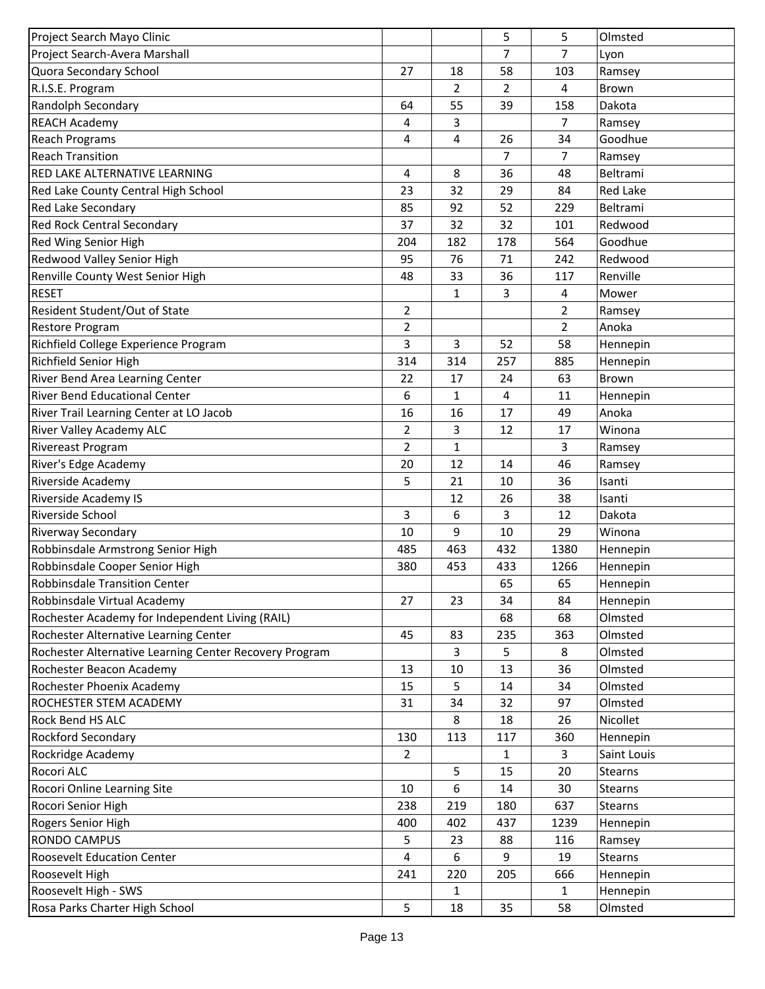| Project Search Mayo Clinic                             |                |                | 5              | 5              | Olmsted        |
|--------------------------------------------------------|----------------|----------------|----------------|----------------|----------------|
| Project Search-Avera Marshall                          |                |                | 7              | 7              | Lyon           |
| Quora Secondary School                                 | 27             | 18             | 58             | 103            | Ramsey         |
| R.I.S.E. Program                                       |                | $\overline{2}$ | $\overline{2}$ | 4              | <b>Brown</b>   |
| Randolph Secondary                                     | 64             | 55             | 39             | 158            | Dakota         |
| <b>REACH Academy</b>                                   | 4              | 3              |                | $\overline{7}$ | Ramsey         |
| <b>Reach Programs</b>                                  | 4              | 4              | 26             | 34             | Goodhue        |
| <b>Reach Transition</b>                                |                |                | 7              | $\overline{7}$ | Ramsey         |
| RED LAKE ALTERNATIVE LEARNING                          | 4              | 8              | 36             | 48             | Beltrami       |
| Red Lake County Central High School                    | 23             | 32             | 29             | 84             | Red Lake       |
| Red Lake Secondary                                     | 85             | 92             | 52             | 229            | Beltrami       |
| <b>Red Rock Central Secondary</b>                      | 37             | 32             | 32             | 101            | Redwood        |
| Red Wing Senior High                                   | 204            | 182            | 178            | 564            | Goodhue        |
| Redwood Valley Senior High                             | 95             | 76             | 71             | 242            | Redwood        |
| Renville County West Senior High                       | 48             | 33             | 36             | 117            | Renville       |
| <b>RESET</b>                                           |                | $\mathbf{1}$   | 3              | 4              | Mower          |
| Resident Student/Out of State                          | $\overline{2}$ |                |                | $\overline{2}$ | Ramsey         |
| Restore Program                                        | 2              |                |                | $\overline{2}$ | Anoka          |
| Richfield College Experience Program                   | 3              | 3              | 52             | 58             | Hennepin       |
| Richfield Senior High                                  | 314            | 314            | 257            | 885            | Hennepin       |
| River Bend Area Learning Center                        | 22             | 17             | 24             | 63             | Brown          |
| <b>River Bend Educational Center</b>                   | 6              | 1              | 4              | 11             | Hennepin       |
| River Trail Learning Center at LO Jacob                | 16             | 16             | 17             | 49             | Anoka          |
| <b>River Valley Academy ALC</b>                        | $\overline{2}$ | 3              | 12             | 17             | Winona         |
| Rivereast Program                                      | $\overline{2}$ | 1              |                | 3              |                |
|                                                        | 20             | 12             |                | 46             | Ramsey         |
| River's Edge Academy                                   |                | 21             | 14             | 36             | Ramsey         |
| Riverside Academy                                      | 5              |                | 10             |                | Isanti         |
| <b>Riverside Academy IS</b>                            |                | 12             | 26             | 38             | Isanti         |
| Riverside School                                       | 3              | 6              | 3              | 12             | Dakota         |
| <b>Riverway Secondary</b>                              | 10             | 9              | 10             | 29             | Winona         |
| Robbinsdale Armstrong Senior High                      | 485            | 463            | 432            | 1380           | Hennepin       |
| Robbinsdale Cooper Senior High                         | 380            | 453            | 433            | 1266           | Hennepin       |
| Robbinsdale Transition Center                          |                |                | 65             | 65             | Hennepin       |
| Robbinsdale Virtual Academy                            | 27             | 23             | 34             | 84             | Hennepin       |
| Rochester Academy for Independent Living (RAIL)        |                |                | 68             | 68             | Olmsted        |
| Rochester Alternative Learning Center                  | 45             | 83             | 235            | 363            | Olmsted        |
| Rochester Alternative Learning Center Recovery Program |                | 3              | 5              | 8              | Olmsted        |
| Rochester Beacon Academy                               | 13             | 10             | 13             | 36             | Olmsted        |
| Rochester Phoenix Academy                              | 15             | 5              | 14             | 34             | Olmsted        |
| ROCHESTER STEM ACADEMY                                 | 31             | 34             | 32             | 97             | Olmsted        |
| Rock Bend HS ALC                                       |                | 8              | 18             | 26             | Nicollet       |
| Rockford Secondary                                     | 130            | 113            | 117            | 360            | Hennepin       |
| Rockridge Academy                                      | $\overline{2}$ |                | 1              | 3              | Saint Louis    |
| Rocori ALC                                             |                | 5              | 15             | 20             | Stearns        |
| Rocori Online Learning Site                            | 10             | 6              | 14             | 30             | Stearns        |
| Rocori Senior High                                     | 238            | 219            | 180            | 637            | <b>Stearns</b> |
| Rogers Senior High                                     | 400            | 402            | 437            | 1239           | Hennepin       |
| <b>RONDO CAMPUS</b>                                    | 5              | 23             | 88             | 116            | Ramsey         |
| <b>Roosevelt Education Center</b>                      | 4              | 6              | 9              | 19             | Stearns        |
| Roosevelt High                                         | 241            | 220            | 205            | 666            | Hennepin       |
| Roosevelt High - SWS                                   |                | 1              |                | $\mathbf{1}$   | Hennepin       |
| Rosa Parks Charter High School                         | 5              | 18             | 35             | 58             | Olmsted        |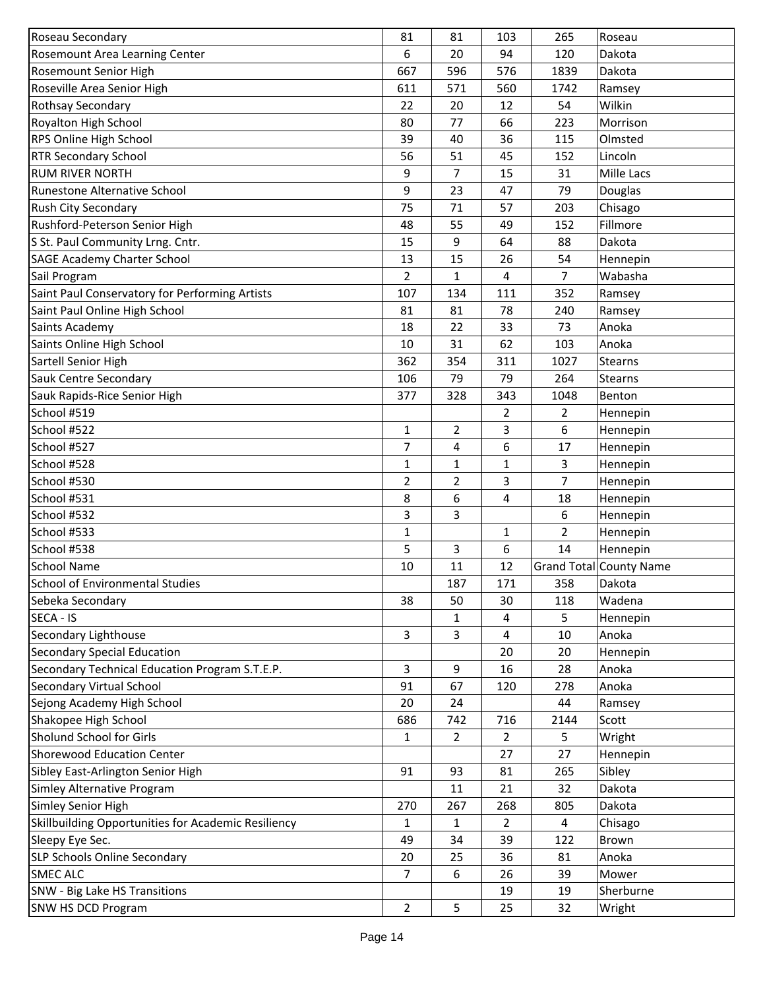| Roseau Secondary                                    | 81             | 81           | 103            | 265            | Roseau                  |
|-----------------------------------------------------|----------------|--------------|----------------|----------------|-------------------------|
| Rosemount Area Learning Center                      | 6              | 20           | 94             | 120            | Dakota                  |
| Rosemount Senior High                               | 667            | 596          | 576            | 1839           | Dakota                  |
| Roseville Area Senior High                          | 611            | 571          | 560            | 1742           | Ramsey                  |
| Rothsay Secondary                                   | 22             | 20           | 12             | 54             | Wilkin                  |
| Royalton High School                                | 80             | 77           | 66             | 223            | Morrison                |
| RPS Online High School                              | 39             | 40           | 36             | 115            | Olmsted                 |
| <b>RTR Secondary School</b>                         | 56             | 51           | 45             | 152            | Lincoln                 |
| <b>RUM RIVER NORTH</b>                              | 9              | 7            | 15             | 31             | Mille Lacs              |
| Runestone Alternative School                        | 9              | 23           | 47             | 79             | Douglas                 |
| Rush City Secondary                                 | 75             | 71           | 57             | 203            | Chisago                 |
| Rushford-Peterson Senior High                       | 48             | 55           | 49             | 152            | Fillmore                |
| S St. Paul Community Lrng. Cntr.                    | 15             | 9            | 64             | 88             | Dakota                  |
| <b>SAGE Academy Charter School</b>                  | 13             | 15           | 26             | 54             | Hennepin                |
| Sail Program                                        | $\overline{2}$ | 1            | 4              | $\overline{7}$ | Wabasha                 |
| Saint Paul Conservatory for Performing Artists      | 107            | 134          | 111            | 352            | Ramsey                  |
| Saint Paul Online High School                       | 81             | 81           | 78             | 240            | Ramsey                  |
| Saints Academy                                      | 18             | 22           | 33             | 73             | Anoka                   |
| Saints Online High School                           | 10             | 31           | 62             | 103            | Anoka                   |
| Sartell Senior High                                 | 362            | 354          | 311            | 1027           | <b>Stearns</b>          |
| <b>Sauk Centre Secondary</b>                        | 106            | 79           | 79             | 264            | Stearns                 |
| Sauk Rapids-Rice Senior High                        | 377            | 328          | 343            | 1048           | Benton                  |
| School #519                                         |                |              | 2              | $\overline{2}$ | Hennepin                |
| School #522                                         | 1              | 2            | 3              | 6              | Hennepin                |
| School #527                                         | 7              | 4            | 6              | 17             | Hennepin                |
| School #528                                         | 1              | $\mathbf{1}$ | 1              | $\mathbf{3}$   | Hennepin                |
| School #530                                         | $\overline{2}$ | 2            | 3              | $\overline{7}$ | Hennepin                |
| School #531                                         | 8              | 6            | 4              | 18             | Hennepin                |
| School #532                                         | 3              | 3            |                | 6              | Hennepin                |
| School #533                                         | $\mathbf 1$    |              | 1              | $\overline{2}$ | Hennepin                |
| School #538                                         | 5              | 3            | 6              | 14             | Hennepin                |
| <b>School Name</b>                                  | 10             | 11           | 12             |                | Grand Total County Name |
| <b>School of Environmental Studies</b>              |                | 187          | 171            | 358            | Dakota                  |
| Sebeka Secondary                                    | 38             | 50           | 30             | 118            | Wadena                  |
| SECA - IS                                           |                | 1            | 4              | 5              | Hennepin                |
| Secondary Lighthouse                                | 3              | 3            | 4              | 10             | Anoka                   |
| <b>Secondary Special Education</b>                  |                |              | 20             | 20             | Hennepin                |
| Secondary Technical Education Program S.T.E.P.      | 3              | 9            | 16             | 28             | Anoka                   |
| <b>Secondary Virtual School</b>                     | 91             | 67           | 120            | 278            | Anoka                   |
| Sejong Academy High School                          | 20             | 24           |                | 44             | Ramsey                  |
| Shakopee High School                                | 686            | 742          | 716            | 2144           | Scott                   |
| Sholund School for Girls                            | $\mathbf 1$    | 2            | $\overline{2}$ | 5              | Wright                  |
| <b>Shorewood Education Center</b>                   |                |              | 27             | 27             | Hennepin                |
| Sibley East-Arlington Senior High                   | 91             | 93           | 81             | 265            | Sibley                  |
| Simley Alternative Program                          |                | 11           | 21             | 32             | Dakota                  |
| Simley Senior High                                  | 270            | 267          | 268            | 805            | Dakota                  |
| Skillbuilding Opportunities for Academic Resiliency | 1              | $\mathbf{1}$ | 2              | 4              | Chisago                 |
| Sleepy Eye Sec.                                     | 49             | 34           | 39             | 122            | Brown                   |
| SLP Schools Online Secondary                        | 20             | 25           | 36             | 81             | Anoka                   |
| <b>SMEC ALC</b>                                     | 7              | 6            | 26             | 39             | Mower                   |
| SNW - Big Lake HS Transitions                       |                |              | 19             | 19             | Sherburne               |
| SNW HS DCD Program                                  | 2              | 5            | 25             | 32             | Wright                  |
|                                                     |                |              |                |                |                         |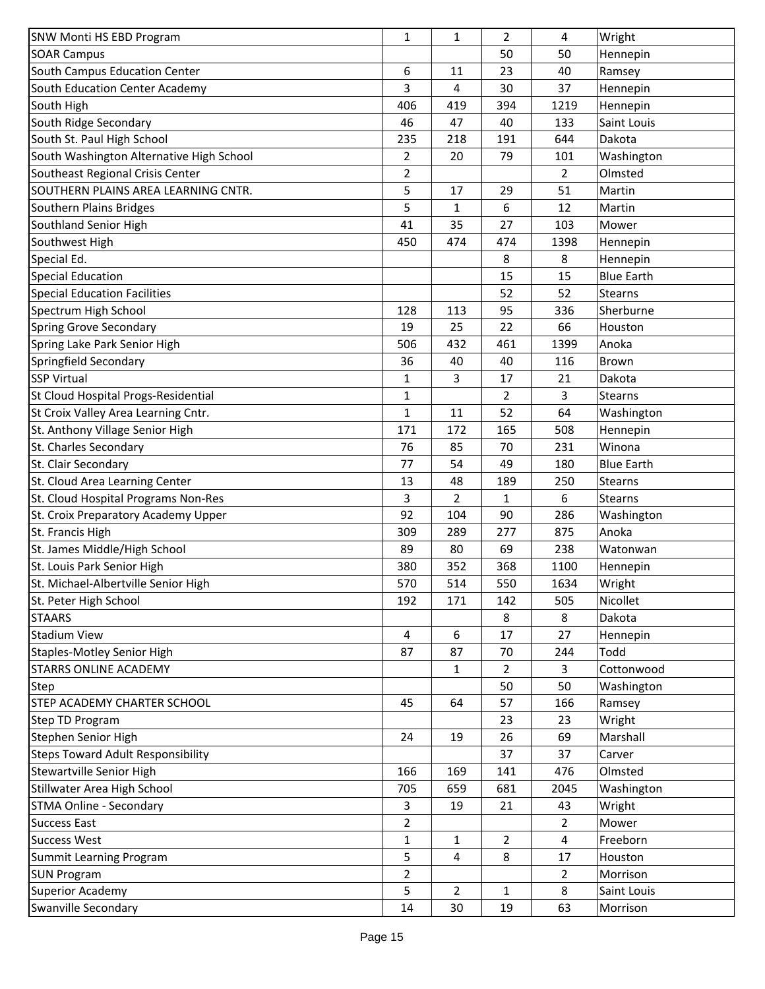| SNW Monti HS EBD Program                 | $\mathbf{1}$   | $\mathbf{1}$ | 2              | 4              | Wright             |
|------------------------------------------|----------------|--------------|----------------|----------------|--------------------|
| <b>SOAR Campus</b>                       |                |              | 50             | 50             | Hennepin           |
| South Campus Education Center            | 6              | 11           | 23             | 40             | Ramsey             |
| South Education Center Academy           | 3              | 4            | 30             | 37             | Hennepin           |
| South High                               | 406            | 419          | 394            | 1219           | Hennepin           |
| South Ridge Secondary                    | 46             | 47           | 40             | 133            | Saint Louis        |
| South St. Paul High School               | 235            | 218          | 191            | 644            | Dakota             |
| South Washington Alternative High School | 2              | 20           | 79             | 101            | Washington         |
| Southeast Regional Crisis Center         | $\overline{2}$ |              |                | $\overline{2}$ | Olmsted            |
| SOUTHERN PLAINS AREA LEARNING CNTR.      | 5              | 17           | 29             | 51             | Martin             |
| Southern Plains Bridges                  | 5              | $\mathbf{1}$ | 6              | 12             | Martin             |
| Southland Senior High                    | 41             | 35           | 27             | 103            | Mower              |
| Southwest High                           | 450            | 474          | 474            | 1398           | Hennepin           |
| Special Ed.                              |                |              | 8              | 8              | Hennepin           |
| <b>Special Education</b>                 |                |              | 15             | 15             | <b>Blue Earth</b>  |
| <b>Special Education Facilities</b>      |                |              | 52             | 52             | <b>Stearns</b>     |
| Spectrum High School                     | 128            | 113          | 95             | 336            | Sherburne          |
| <b>Spring Grove Secondary</b>            | 19             | 25           | 22             | 66             | Houston            |
| Spring Lake Park Senior High             | 506            | 432          | 461            | 1399           | Anoka              |
| Springfield Secondary                    | 36             | 40           | 40             | 116            | Brown              |
| <b>SSP Virtual</b>                       | $\mathbf{1}$   | 3            | 17             | 21             | Dakota             |
| St Cloud Hospital Progs-Residential      | $\mathbf{1}$   |              | 2              | 3              | <b>Stearns</b>     |
| St Croix Valley Area Learning Cntr.      | $\mathbf{1}$   | 11           | 52             | 64             | Washington         |
| St. Anthony Village Senior High          | 171            | 172          | 165            | 508            | Hennepin           |
| St. Charles Secondary                    | 76             | 85           | 70             | 231            | Winona             |
| St. Clair Secondary                      | 77             | 54           | 49             | 180            | <b>Blue Earth</b>  |
| St. Cloud Area Learning Center           | 13             | 48           | 189            | 250            | <b>Stearns</b>     |
| St. Cloud Hospital Programs Non-Res      | 3              | 2            | $\mathbf{1}$   | 6              | <b>Stearns</b>     |
| St. Croix Preparatory Academy Upper      | 92             | 104          | 90             | 286            | Washington         |
| St. Francis High                         | 309            | 289          | 277            | 875            | Anoka              |
| St. James Middle/High School             | 89             | 80           | 69             | 238            | Watonwan           |
| St. Louis Park Senior High               |                |              |                |                |                    |
| St. Michael-Albertville Senior High      | 380<br>570     | 352<br>514   | 368            | 1100           | Hennepin           |
|                                          |                |              | 550            | 1634           | Wright             |
| St. Peter High School<br><b>STAARS</b>   | 192            | 171          | 142            | 505<br>8       | Nicollet<br>Dakota |
|                                          |                |              | 8              |                |                    |
| <b>Stadium View</b>                      | 4              | 6            | 17             | 27             | Hennepin           |
| <b>Staples-Motley Senior High</b>        | 87             | 87           | 70             | 244            | Todd               |
| <b>STARRS ONLINE ACADEMY</b>             |                | 1            | $\overline{2}$ | 3              | Cottonwood         |
| Step                                     |                |              | 50             | 50             | Washington         |
| STEP ACADEMY CHARTER SCHOOL              | 45             | 64           | 57             | 166            | Ramsey             |
| Step TD Program                          |                |              | 23             | 23             | Wright             |
| Stephen Senior High                      | 24             | 19           | 26             | 69             | Marshall           |
| <b>Steps Toward Adult Responsibility</b> |                |              | 37             | 37             | Carver             |
| Stewartville Senior High                 | 166            | 169          | 141            | 476            | Olmsted            |
| Stillwater Area High School              | 705            | 659          | 681            | 2045           | Washington         |
| <b>STMA Online - Secondary</b>           | 3              | 19           | 21             | 43             | Wright             |
| <b>Success East</b>                      | $\overline{2}$ |              |                | $\overline{2}$ | Mower              |
| <b>Success West</b>                      | 1              | 1            | $\overline{2}$ | 4              | Freeborn           |
| <b>Summit Learning Program</b>           | 5              | 4            | 8              | 17             | Houston            |
| <b>SUN Program</b>                       | $\overline{2}$ |              |                | $\overline{2}$ | Morrison           |
| <b>Superior Academy</b>                  | 5              | 2            | 1              | 8              | Saint Louis        |
| Swanville Secondary                      | 14             | 30           | 19             | 63             | Morrison           |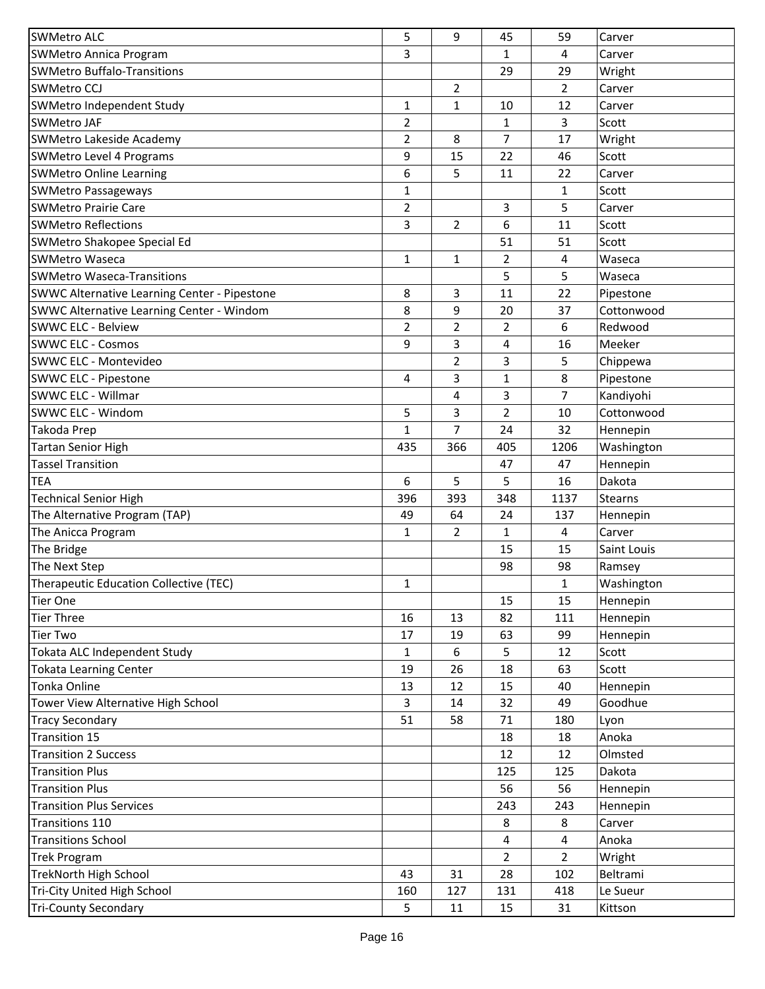| <b>SWMetro ALC</b>                                  | 5            | 9              | 45             | 59             | Carver         |
|-----------------------------------------------------|--------------|----------------|----------------|----------------|----------------|
| <b>SWMetro Annica Program</b>                       | 3            |                | 1              | 4              | Carver         |
| <b>SWMetro Buffalo-Transitions</b>                  |              |                | 29             | 29             | Wright         |
| <b>SWMetro CCJ</b>                                  |              | $\overline{2}$ |                | $\overline{2}$ | Carver         |
| SWMetro Independent Study                           | 1            | 1              | 10             | 12             | Carver         |
| <b>SWMetro JAF</b>                                  | 2            |                | 1              | 3              | Scott          |
| <b>SWMetro Lakeside Academy</b>                     | 2            | 8              | 7              | 17             | Wright         |
| <b>SWMetro Level 4 Programs</b>                     | 9            | 15             | 22             | 46             | Scott          |
| <b>SWMetro Online Learning</b>                      | 6            | 5              | 11             | 22             | Carver         |
| <b>SWMetro Passageways</b>                          | $\mathbf{1}$ |                |                | $\mathbf{1}$   | Scott          |
| <b>SWMetro Prairie Care</b>                         | 2            |                | 3              | 5              | Carver         |
| <b>SWMetro Reflections</b>                          | 3            | 2              | 6              | 11             | Scott          |
| SWMetro Shakopee Special Ed                         |              |                | 51             | 51             | Scott          |
| <b>SWMetro Waseca</b>                               | $\mathbf{1}$ | 1              | 2              | 4              | Waseca         |
| <b>SWMetro Waseca-Transitions</b>                   |              |                | 5              | 5              | Waseca         |
| <b>SWWC Alternative Learning Center - Pipestone</b> | 8            | 3              | 11             | 22             | Pipestone      |
| SWWC Alternative Learning Center - Windom           | 8            | 9              | 20             | 37             | Cottonwood     |
| <b>SWWC ELC - Belview</b>                           | 2            | 2              | 2              | 6              | Redwood        |
| <b>SWWC ELC - Cosmos</b>                            | 9            | 3              | 4              | 16             | Meeker         |
| SWWC ELC - Montevideo                               |              | 2              | 3              | 5              | Chippewa       |
| <b>SWWC ELC - Pipestone</b>                         | 4            | 3              | 1              | 8              | Pipestone      |
| SWWC ELC - Willmar                                  |              | 4              | 3              | 7              | Kandiyohi      |
| SWWC ELC - Windom                                   | 5            | 3              | 2              | 10             | Cottonwood     |
| Takoda Prep                                         | 1            | 7              | 24             | 32             | Hennepin       |
| <b>Tartan Senior High</b>                           | 435          | 366            | 405            | 1206           | Washington     |
| <b>Tassel Transition</b>                            |              |                | 47             | 47             | Hennepin       |
| <b>TEA</b>                                          | 6            | 5              | 5              | 16             | Dakota         |
| <b>Technical Senior High</b>                        | 396          | 393            | 348            | 1137           | <b>Stearns</b> |
| The Alternative Program (TAP)                       | 49           | 64             | 24             | 137            | Hennepin       |
| The Anicca Program                                  | 1            | 2              | 1              | 4              | Carver         |
| The Bridge                                          |              |                | 15             | 15             | Saint Louis    |
| The Next Step                                       |              |                | 98             | 98             | Ramsey         |
| Therapeutic Education Collective (TEC)              | 1            |                |                | $\mathbf{1}$   | Washington     |
| Tier One                                            |              |                | 15             | 15             | Hennepin       |
| Tier Three                                          | 16           | 13             | 82             | 111            | Hennepin       |
| Tier Two                                            | 17           | 19             | 63             | 99             | Hennepin       |
| Tokata ALC Independent Study                        | 1            | 6              | 5              | 12             | Scott          |
| <b>Tokata Learning Center</b>                       | 19           | 26             | 18             | 63             | Scott          |
| Tonka Online                                        | 13           | 12             | 15             | 40             | Hennepin       |
| Tower View Alternative High School                  | 3            | 14             | 32             | 49             | Goodhue        |
| <b>Tracy Secondary</b>                              | 51           | 58             | 71             | 180            | Lyon           |
| Transition 15                                       |              |                | 18             | 18             | Anoka          |
| <b>Transition 2 Success</b>                         |              |                | 12             | 12             | Olmsted        |
| <b>Transition Plus</b>                              |              |                | 125            | 125            | Dakota         |
| <b>Transition Plus</b>                              |              |                | 56             | 56             | Hennepin       |
| <b>Transition Plus Services</b>                     |              |                | 243            | 243            | Hennepin       |
| Transitions 110                                     |              |                | 8              | 8              | Carver         |
| <b>Transitions School</b>                           |              |                | 4              | 4              | Anoka          |
| <b>Trek Program</b>                                 |              |                | $\overline{2}$ | $\overline{2}$ | Wright         |
| <b>TrekNorth High School</b>                        | 43           | 31             | 28             | 102            | Beltrami       |
| Tri-City United High School                         | 160          | 127            | 131            | 418            | Le Sueur       |
| <b>Tri-County Secondary</b>                         | 5            | 11             | 15             | 31             | Kittson        |
|                                                     |              |                |                |                |                |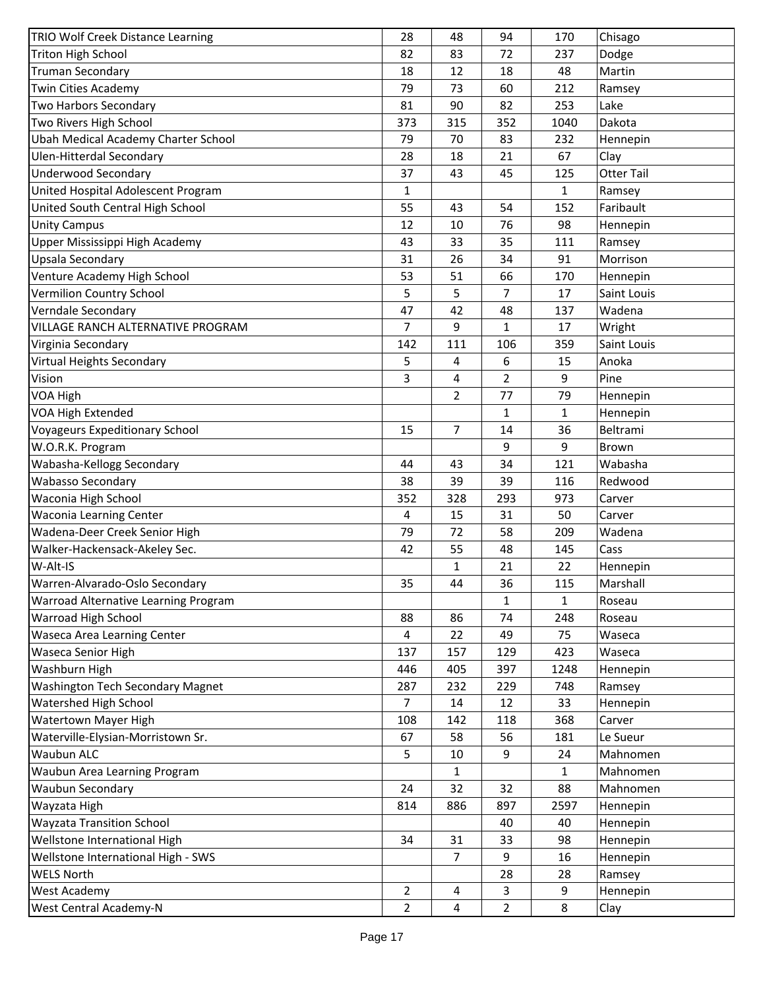| TRIO Wolf Creek Distance Learning    | 28             | 48             | 94             | 170          | Chisago           |
|--------------------------------------|----------------|----------------|----------------|--------------|-------------------|
| <b>Triton High School</b>            | 82             | 83             | 72             | 237          | Dodge             |
| <b>Truman Secondary</b>              | 18             | 12             | 18             | 48           | Martin            |
| Twin Cities Academy                  | 79             | 73             | 60             | 212          | Ramsey            |
| Two Harbors Secondary                | 81             | 90             | 82             | 253          | Lake              |
| Two Rivers High School               | 373            | 315            | 352            | 1040         | Dakota            |
| Ubah Medical Academy Charter School  | 79             | 70             | 83             | 232          | Hennepin          |
| <b>Ulen-Hitterdal Secondary</b>      | 28             | 18             | 21             | 67           | Clay              |
| <b>Underwood Secondary</b>           | 37             | 43             | 45             | 125          | <b>Otter Tail</b> |
| United Hospital Adolescent Program   | $\mathbf{1}$   |                |                | $\mathbf{1}$ | Ramsey            |
| United South Central High School     | 55             | 43             | 54             | 152          | Faribault         |
| <b>Unity Campus</b>                  | 12             | 10             | 76             | 98           | Hennepin          |
| Upper Mississippi High Academy       | 43             | 33             | 35             | 111          | Ramsey            |
| Upsala Secondary                     | 31             | 26             | 34             | 91           | Morrison          |
| Venture Academy High School          | 53             | 51             | 66             | 170          | Hennepin          |
| Vermilion Country School             | 5              | 5              | 7              | 17           | Saint Louis       |
| Verndale Secondary                   | 47             | 42             | 48             | 137          | Wadena            |
| VILLAGE RANCH ALTERNATIVE PROGRAM    | $\overline{7}$ | 9              | $\mathbf{1}$   | 17           | Wright            |
| Virginia Secondary                   | 142            | 111            | 106            | 359          | Saint Louis       |
| Virtual Heights Secondary            | 5              | 4              | 6              | 15           | Anoka             |
| Vision                               | 3              | 4              | $\overline{2}$ | 9            | Pine              |
| VOA High                             |                | $\overline{2}$ | 77             | 79           | Hennepin          |
| VOA High Extended                    |                |                | 1              | $\mathbf{1}$ | Hennepin          |
| Voyageurs Expeditionary School       | 15             | $\overline{7}$ | 14             | 36           | Beltrami          |
| W.O.R.K. Program                     |                |                | 9              | 9            | Brown             |
| Wabasha-Kellogg Secondary            | 44             | 43             | 34             | 121          | Wabasha           |
| Wabasso Secondary                    | 38             | 39             | 39             | 116          | Redwood           |
| Waconia High School                  | 352            | 328            | 293            | 973          | Carver            |
| <b>Waconia Learning Center</b>       | 4              | 15             | 31             | 50           | Carver            |
| Wadena-Deer Creek Senior High        | 79             | 72             | 58             | 209          | Wadena            |
| Walker-Hackensack-Akeley Sec.        | 42             | 55             | 48             | 145          | Cass              |
| W-Alt-IS                             |                | 1              | 21             | 22           | Hennepin          |
| Warren-Alvarado-Oslo Secondary       | 35             | 44             | 36             | 115          | Marshall          |
| Warroad Alternative Learning Program |                |                | $\mathbf{1}$   | 1            | Roseau            |
| Warroad High School                  | 88             | 86             | 74             | 248          | Roseau            |
| Waseca Area Learning Center          | 4              | 22             | 49             | 75           | Waseca            |
| Waseca Senior High                   | 137            | 157            | 129            | 423          | Waseca            |
| Washburn High                        | 446            | 405            | 397            | 1248         | Hennepin          |
| Washington Tech Secondary Magnet     | 287            | 232            | 229            | 748          | Ramsey            |
| <b>Watershed High School</b>         | $\overline{7}$ | 14             | 12             | 33           | Hennepin          |
| Watertown Mayer High                 | 108            | 142            | 118            | 368          | Carver            |
| Waterville-Elysian-Morristown Sr.    | 67             | 58             | 56             | 181          | Le Sueur          |
| Waubun ALC                           | 5              | 10             | 9              | 24           | Mahnomen          |
|                                      |                |                |                |              |                   |
| Waubun Area Learning Program         |                | 1              |                | $\mathbf{1}$ | Mahnomen          |
| Waubun Secondary                     | 24             | 32             | 32             | 88           | Mahnomen          |
| Wayzata High                         | 814            | 886            | 897            | 2597         | Hennepin          |
| <b>Wayzata Transition School</b>     |                |                | 40             | 40           | Hennepin          |
| Wellstone International High         | 34             | 31             | 33             | 98           | Hennepin          |
| Wellstone International High - SWS   |                | $\overline{7}$ | 9              | 16           | Hennepin          |
| <b>WELS North</b>                    |                |                | 28             | 28           | Ramsey            |
| West Academy                         | $\overline{2}$ | 4              | 3              | 9            | Hennepin          |
| West Central Academy-N               | $\overline{2}$ | 4              | $\overline{2}$ | 8            | Clay              |